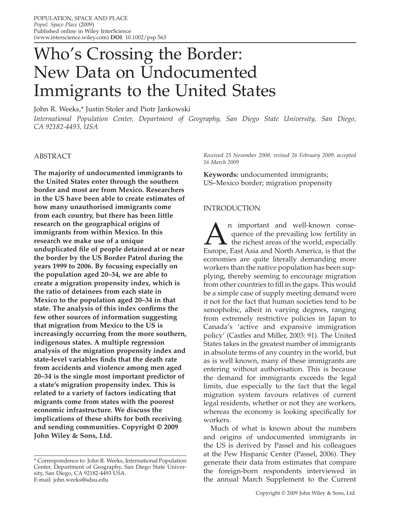# Who's Crossing the Border: New Data on Undocumented Immigrants to the United States

John R. Weeks,\* Justin Stoler and Piotr Jankowski

*International Population Center, Department of Geography, San Diego State University, San Diego, CA 92182-4493, USA* 

# ABSTRACT

**The majority of undocumented immigrants to the United States enter through the southern border and most are from Mexico. Researchers in the US have been able to create estimates of how many unauthorised immigrants come from each country, but there has been little research on the geographical origins of immigrants from within Mexico. In this research we make use of a unique unduplicated file of people detained at or near the border by the US Border Patrol during the years 1999 to 2006. By focusing especially on the population aged 20–34, we are able to create a migration propensity index, which is the ratio of detainees from each state in Mexico to the population aged 20–34 in that state. The analysis of this index confirms the few other sources of information suggesting that migration from Mexico to the US is increasingly occurring from the more southern, indigenous states. A multiple regression analysis of the migration propensity index and state-level variables finds that the death rate from accidents and violence among men aged 20–34 is the single most important predictor of a state's migration propensity index. This is related to a variety of factors indicating that migrants come from states with the poorest economic infrastructure. We discuss the implications of these shifts for both receiving**  and sending communities. Copyright  $@$  2009 **John Wiley & Sons, Ltd.** 

*Received 25 November 2008; revised 26 February 2009; accepted 16 March 2009* 

**Keywords:** undocumented immigrants; US–Mexico border; migration propensity

#### INTRODUCTION

An important and well-known consequence of the prevailing low fertility in the richest areas of the world, especially Europe, East Asia and North America, is that the quence of the prevailing low fertility in the richest areas of the world, especially economies are quite literally demanding more workers than the native population has been supplying, thereby seeming to encourage migration from other countries to fill in the gaps. This would be a simple case of supply meeting demand were it not for the fact that human societies tend to be xenophobic, albeit in varying degrees, ranging from extremely restrictive policies in Japan to Canada's 'active and expansive immigration policy' (Castles and Miller, 2003: 91). The United States takes in the greatest number of immigrants in absolute terms of any country in the world, but as is well known, many of these immigrants are entering without authorisation. This is because the demand for immigrants exceeds the legal limits, due especially to the fact that the legal migration system favours relatives of current legal residents, whether or not they are workers, whereas the economy is looking specifically for workers.

Much of what is known about the numbers and origins of undocumented immigrants in the US is derived by Passel and his colleagues at the Pew Hispanic Center (Passel, 2006). They generate their data from estimates that compare the foreign-born respondents interviewed in the annual March Supplement to the Current

<sup>\*</sup> Correspondence to: John R. Weeks, International Population Center, Department of Geography, San Diego State University, San Diego, CA 92182-4493 USA. E-mail: john.weeks@sdsu.edu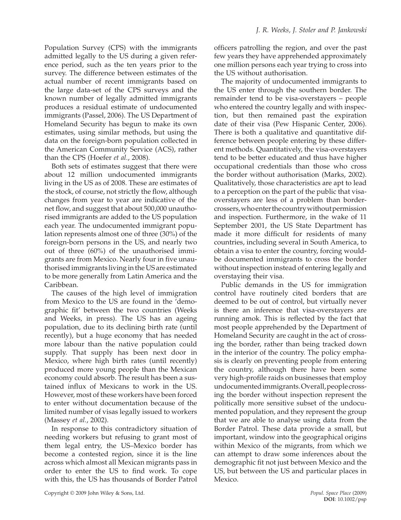Population Survey (CPS) with the immigrants admitted legally to the US during a given reference period, such as the ten years prior to the survey. The difference between estimates of the actual number of recent immigrants based on the large data-set of the CPS surveys and the known number of legally admitted immigrants produces a residual estimate of undocumented immigrants (Passel, 2006). The US Department of Homeland Security has begun to make its own estimates, using similar methods, but using the data on the foreign-born population collected in the American Community Service (ACS), rather than the CPS (Hoefer *et al.*, 2008).

Both sets of estimates suggest that there were about 12 million undocumented immigrants living in the US as of 2008. These are estimates of the stock, of course, not strictly the flow, although changes from year to year are indicative of the net flow, and suggest that about 500,000 unauthorised immigrants are added to the US population each year. The undocumented immigrant population represents almost one of three (30%) of the foreign-born persons in the US, and nearly two out of three (60%) of the unauthorised immigrants are from Mexico. Nearly four in five unauthorised immigrants living in the US are estimated to be more generally from Latin America and the Caribbean.

The causes of the high level of immigration from Mexico to the US are found in the 'demographic fit' between the two countries (Weeks and Weeks, in press). The US has an ageing population, due to its declining birth rate (until recently), but a huge economy that has needed more labour than the native population could supply. That supply has been next door in Mexico, where high birth rates (until recently) produced more young people than the Mexican economy could absorb. The result has been a sustained influx of Mexicans to work in the US. However, most of these workers have been forced to enter without documentation because of the limited number of visas legally issued to workers (Massey *et al.*, 2002).

In response to this contradictory situation of needing workers but refusing to grant most of them legal entry, the US–Mexico border has become a contested region, since it is the line across which almost all Mexican migrants pass in order to enter the US to find work. To cope with this, the US has thousands of Border Patrol

officers patrolling the region, and over the past few years they have apprehended approximately one million persons each year trying to cross into the US without authorisation.

The majority of undocumented immigrants to the US enter through the southern border. The remainder tend to be visa-overstayers – people who entered the country legally and with inspection, but then remained past the expiration date of their visa (Pew Hispanic Center, 2006). There is both a qualitative and quantitative difference between people entering by these different methods. Quantitatively, the visa-overstayers tend to be better educated and thus have higher occupational credentials than those who cross the border without authorisation (Marks, 2002). Qualitatively, those characteristics are apt to lead to a perception on the part of the public that visaoverstayers are less of a problem than bordercrossers, who enter the country without permission and inspection. Furthermore, in the wake of 11 September 2001, the US State Department has made it more difficult for residents of many countries, including several in South America, to obtain a visa to enter the country, forcing wouldbe documented immigrants to cross the border without inspection instead of entering legally and overstaying their visa.

Public demands in the US for immigration control have routinely cited borders that are deemed to be out of control, but virtually never is there an inference that visa-overstayers are running amok. This is reflected by the fact that most people apprehended by the Department of Homeland Security are caught in the act of crossing the border, rather than being tracked down in the interior of the country. The policy emphasis is clearly on preventing people from entering the country, although there have been some very high-profile raids on businesses that employ undocumented immigrants. Overall, people crossing the border without inspection represent the politically more sensitive subset of the undocumented population, and they represent the group that we are able to analyse using data from the Border Patrol. These data provide a small, but important, window into the geographical origins within Mexico of the migrants, from which we can attempt to draw some inferences about the demographic fit not just between Mexico and the US, but between the US and particular places in Mexico.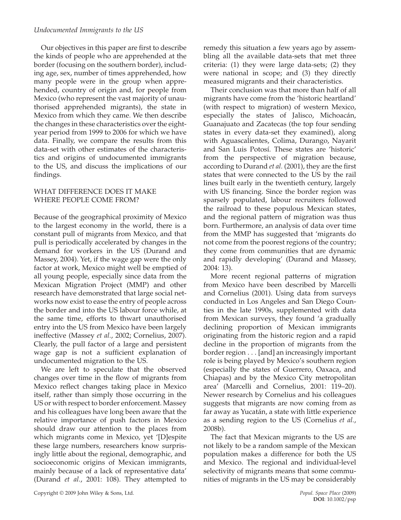#### *Undocumented Immigrants to the US*

Our objectives in this paper are first to describe the kinds of people who are apprehended at the border (focusing on the southern border), including age, sex, number of times apprehended, how many people were in the group when apprehended, country of origin and, for people from Mexico (who represent the vast majority of unauthorised apprehended migrants), the state in Mexico from which they came. We then describe the changes in these characteristics over the eightyear period from 1999 to 2006 for which we have data. Finally, we compare the results from this data-set with other estimates of the characteristics and origins of undocumented immigrants to the US, and discuss the implications of our findings.

# WHAT DIFFERENCE DOES IT MAKE WHERE PEOPLE COME FROM?

Because of the geographical proximity of Mexico to the largest economy in the world, there is a constant pull of migrants from Mexico, and that pull is periodically accelerated by changes in the demand for workers in the US (Durand and Massey, 2004). Yet, if the wage gap were the only factor at work, Mexico might well be emptied of all young people, especially since data from the Mexican Migration Project (MMP) and other research have demonstrated that large social networks now exist to ease the entry of people across the border and into the US labour force while, at the same time, efforts to thwart unauthorised entry into the US from Mexico have been largely ineffective (Massey *et al.*, 2002; Cornelius, 2007). Clearly, the pull factor of a large and persistent wage gap is not a sufficient explanation of undocumented migration to the US.

We are left to speculate that the observed changes over time in the flow of migrants from Mexico reflect changes taking place in Mexico itself, rather than simply those occurring in the US or with respect to border enforcement. Massey and his colleagues have long been aware that the relative importance of push factors in Mexico should draw our attention to the places from which migrants come in Mexico, yet '[D]espite these large numbers, researchers know surprisingly little about the regional, demographic, and socioeconomic origins of Mexican immigrants, mainly because of a lack of representative data' (Durand *et al.*, 2001: 108). They attempted to

remedy this situation a few years ago by assembling all the available data-sets that met three criteria: (1) they were large data-sets; (2) they were national in scope; and (3) they directly measured migrants and their characteristics.

Their conclusion was that more than half of all migrants have come from the 'historic heartland' (with respect to migration) of western Mexico, especially the states of Jalisco, Michoacán, Guanajuato and Zacatecas (the top four sending states in every data-set they examined), along with Aguascalientes, Colima, Durango, Nayarit and San Luis Potosí. These states are 'historic' from the perspective of migration because, according to Durand *et al.* (2001), they are the first states that were connected to the US by the rail lines built early in the twentieth century, largely with US financing. Since the border region was sparsely populated, labour recruiters followed the railroad to these populous Mexican states, and the regional pattern of migration was thus born. Furthermore, an analysis of data over time from the MMP has suggested that 'migrants do not come from the poorest regions of the country; they come from communities that are dynamic and rapidly developing' (Durand and Massey, 2004: 13).

More recent regional patterns of migration from Mexico have been described by Marcelli and Cornelius (2001). Using data from surveys conducted in Los Angeles and San Diego Counties in the late 1990s, supplemented with data from Mexican surveys, they found 'a gradually declining proportion of Mexican immigrants originating from the historic region and a rapid decline in the proportion of migrants from the border region . . . [and] an increasingly important role is being played by Mexico's southern region (especially the states of Guerrero, Oaxaca, and Chiapas) and by the Mexico City metropolitan area' (Marcelli and Cornelius, 2001: 119–20). Newer research by Cornelius and his colleagues suggests that migrants are now coming from as far away as Yucatán, a state with little experience as a sending region to the US (Cornelius *et al.*, 2008b).

The fact that Mexican migrants to the US are not likely to be a random sample of the Mexican population makes a difference for both the US and Mexico. The regional and individual-level selectivity of migrants means that some communities of migrants in the US may be considerably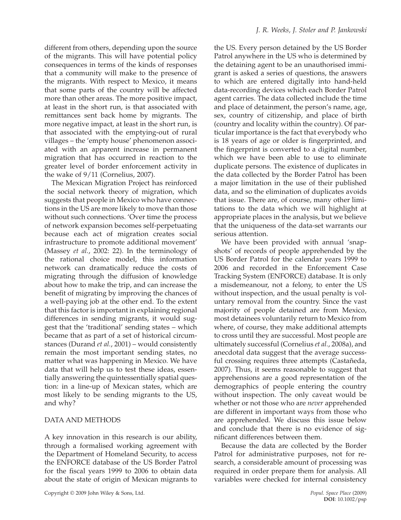different from others, depending upon the source of the migrants. This will have potential policy consequences in terms of the kinds of responses that a community will make to the presence of the migrants. With respect to Mexico, it means that some parts of the country will be affected more than other areas. The more positive impact, at least in the short run, is that associated with remittances sent back home by migrants. The more negative impact, at least in the short run, is that associated with the emptying-out of rural villages – the 'empty house' phenomenon associated with an apparent increase in permanent migration that has occurred in reaction to the greater level of border enforcement activity in the wake of 9/11 (Cornelius, 2007).

The Mexican Migration Project has reinforced the social network theory of migration, which suggests that people in Mexico who have connections in the US are more likely to move than those without such connections. 'Over time the process of network expansion becomes self-perpetuating because each act of migration creates social infrastructure to promote additional movement' (Massey *et al.*, 2002: 22). In the terminology of the rational choice model, this information network can dramatically reduce the costs of migrating through the diffusion of knowledge about how to make the trip, and can increase the benefit of migrating by improving the chances of a well-paying job at the other end. To the extent that this factor is important in explaining regional differences in sending migrants, it would suggest that the 'traditional' sending states – which became that as part of a set of historical circumstances (Durand *et al.*, 2001) – would consistently remain the most important sending states, no matter what was happening in Mexico. We have data that will help us to test these ideas, essentially answering the quintessentially spatial question: in a line-up of Mexican states, which are most likely to be sending migrants to the US, and why?

#### DATA AND METHODS

A key innovation in this research is our ability, through a formalised working agreement with the Department of Homeland Security, to access the ENFORCE database of the US Border Patrol for the fiscal years 1999 to 2006 to obtain data about the state of origin of Mexican migrants to

the US. Every person detained by the US Border Patrol anywhere in the US who is determined by the detaining agent to be an unauthorised immigrant is asked a series of questions, the answers to which are entered digitally into hand-held data-recording devices which each Border Patrol agent carries. The data collected include the time and place of detainment, the person's name, age, sex, country of citizenship, and place of birth (country and locality within the country). Of particular importance is the fact that everybody who is 18 years of age or older is fingerprinted, and the fingerprint is converted to a digital number, which we have been able to use to eliminate duplicate persons. The existence of duplicates in the data collected by the Border Patrol has been a major limitation in the use of their published data, and so the elimination of duplicates avoids that issue. There are, of course, many other limitations to the data which we will highlight at appropriate places in the analysis, but we believe that the uniqueness of the data-set warrants our serious attention.

We have been provided with annual 'snapshots' of records of people apprehended by the US Border Patrol for the calendar years 1999 to 2006 and recorded in the Enforcement Case Tracking System (ENFORCE) database. It is only a misdemeanour, not a felony, to enter the US without inspection, and the usual penalty is voluntary removal from the country. Since the vast majority of people detained are from Mexico, most detainees voluntarily return to Mexico from where, of course, they make additional attempts to cross until they are successful. Most people are ultimately successful (Cornelius *et al.*, 2008a), and anecdotal data suggest that the average successful crossing requires three attempts (Castañeda, 2007). Thus, it seems reasonable to suggest that apprehensions are a good representation of the demographics of people entering the country without inspection. The only caveat would be whether or not those who are *never* apprehended are different in important ways from those who are apprehended. We discuss this issue below and conclude that there is no evidence of significant differences between them.

Because the data are collected by the Border Patrol for administrative purposes, not for research, a considerable amount of processing was required in order prepare them for analysis. All variables were checked for internal consistency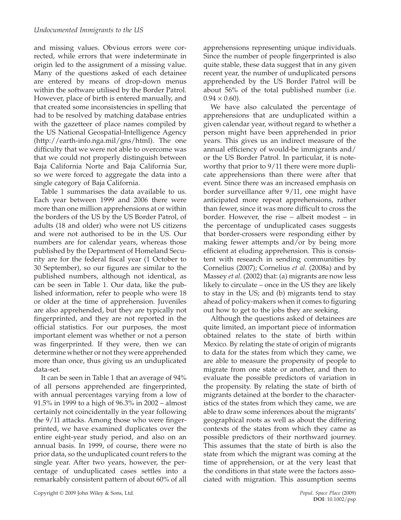and missing values. Obvious errors were corrected, while errors that were indeterminate in origin led to the assignment of a missing value. Many of the questions asked of each detainee are entered by means of drop-down menus within the software utilised by the Border Patrol. However, place of birth is entered manually, and that created some inconsistencies in spelling that had to be resolved by matching database entries with the gazetteer of place names compiled by the US National Geospatial-Intelligence Agency (http://earth-info.nga.mil/gns/html). The one difficulty that we were not able to overcome was that we could not properly distinguish between Baja California Norte and Baja California Sur, so we were forced to aggregate the data into a single category of Baja California.

Table 1 summarises the data available to us. Each year between 1999 and 2006 there were more than one million apprehensions at or within the borders of the US by the US Border Patrol, of adults (18 and older) who were not US citizens and were not authorised to be in the US. Our numbers are for calendar years, whereas those published by the Department of Homeland Security are for the federal fiscal year (1 October to 30 September), so our figures are similar to the published numbers, although not identical, as can be seen in Table 1. Our data, like the published information, refer to people who were 18 or older at the time of apprehension. Juveniles are also apprehended, but they are typically not fingerprinted, and they are not reported in the official statistics. For our purposes, the most important element was whether or not a person was fingerprinted. If they were, then we can determine whether or not they were apprehended more than once, thus giving us an unduplicated data-set.

It can be seen in Table 1 that an average of 94% of all persons apprehended are fingerprinted, with annual percentages varying from a low of 91.5% in 1999 to a high of 96.3% in 2002 – almost certainly not coincidentally in the year following the 9/11 attacks. Among those who were fingerprinted, we have examined duplicates over the entire eight-year study period, and also on an annual basis. In 1999, of course, there were no prior data, so the unduplicated count refers to the single year. After two years, however, the percentage of unduplicated cases settles into a remarkably consistent pattern of about 60% of all

apprehensions representing unique individuals. Since the number of people fingerprinted is also quite stable, these data suggest that in any given recent year, the number of unduplicated persons apprehended by the US Border Patrol will be about 56% of the total published number (i.e.  $0.94 \times 0.60$ ).

We have also calculated the percentage of apprehensions that are unduplicated within a given calendar year, without regard to whether a person might have been apprehended in prior years. This gives us an indirect measure of the annual efficiency of would-be immigrants and/ or the US Border Patrol. In particular, it is noteworthy that prior to 9/11 there were more duplicate apprehensions than there were after that event. Since there was an increased emphasis on border surveillance after 9/11, one might have anticipated more repeat apprehensions, rather than fewer, since it was more difficult to cross the border. However, the rise – albeit modest – in the percentage of unduplicated cases suggests that border-crossers were responding either by making fewer attempts and/or by being more efficient at eluding apprehension. This is consistent with research in sending communities by Cornelius (2007); Cornelius *et al*. (2008a) and by Massey *et al.* (2002) that: (a) migrants are now less likely to circulate – once in the US they are likely to stay in the US; and (b) migrants tend to stay ahead of policy-makers when it comes to figuring out how to get to the jobs they are seeking.

Although the questions asked of detainees are quite limited, an important piece of information obtained relates to the state of birth within Mexico. By relating the state of origin of migrants to data for the states from which they came, we are able to measure the propensity of people to migrate from one state or another, and then to evaluate the possible predictors of variation in the propensity. By relating the state of birth of migrants detained at the border to the characteristics of the states from which they came, we are able to draw some inferences about the migrants' geographical roots as well as about the differing contexts of the states from which they came as possible predictors of their northward journey. This assumes that the state of birth is also the state from which the migrant was coming at the time of apprehension, or at the very least that the conditions in that state were the factors associated with migration. This assumption seems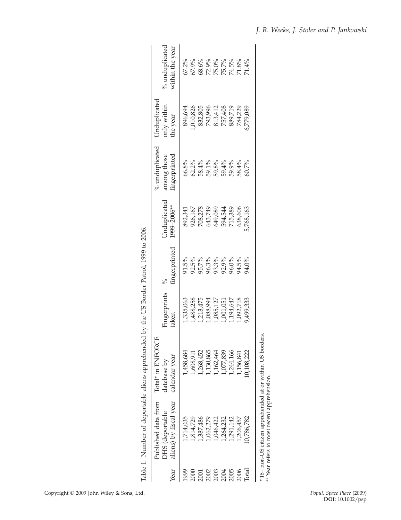|                  | Published data from<br><b>DHS</b> (deportable                                                 | Total* in ENFORCE<br>database by    | Fingerprints                                                               |               | Jnduplicated                                                              | % unduplicated<br>among those                                                                               | Unduplicated<br>only within<br>the year             | $%$ unduplicated                                   |
|------------------|-----------------------------------------------------------------------------------------------|-------------------------------------|----------------------------------------------------------------------------|---------------|---------------------------------------------------------------------------|-------------------------------------------------------------------------------------------------------------|-----------------------------------------------------|----------------------------------------------------|
| Year             | aliens) by fiscal year                                                                        | calendar year                       | taken                                                                      | fingerprinted | 1999-2006**                                                               | ingerprinted                                                                                                |                                                     | within the year                                    |
| 1999             | 1,714,035                                                                                     | ,684<br>1,458,                      | ,335,063                                                                   |               | 892,341                                                                   | 66.8%                                                                                                       | 896,694                                             | 67.2%                                              |
| 2000             | 1,814,729                                                                                     | ,911<br>1,608,                      | ,488,258                                                                   |               |                                                                           |                                                                                                             | 1,010,826                                           |                                                    |
| 200 <sup>2</sup> | ,387,486                                                                                      | 1,268,452<br>1,130,865<br>1,162,464 |                                                                            |               |                                                                           |                                                                                                             |                                                     |                                                    |
| 2002             | 1,062,279                                                                                     |                                     |                                                                            |               |                                                                           |                                                                                                             |                                                     |                                                    |
| 2003             | 1,046,422                                                                                     |                                     |                                                                            |               |                                                                           |                                                                                                             |                                                     |                                                    |
| 2004             | 1,264,232                                                                                     | 1,077,839<br>1,244,166<br>1,156,841 | 1,213,475<br>1,088,994<br>1,085,127<br>1,001,051<br>1,194,647<br>1,092,718 |               | 926,167<br>708,278<br>708,749<br>649,089<br>649,544<br>538,606<br>715,389 | $\begin{array}{l} 62.2\% \\ 62.4\% \\ 58.4\% \\ 59.1\% \\ 59.8\% \\ 59.9\% \\ 59.4\% \\ 59.4\% \end{array}$ | 832,805<br>793,996<br>813,412<br>757,408<br>784,229 | 67.9%<br>68.6%<br>72.9%<br>75.7%<br>71.8%<br>71.4% |
| 2005             | 1,291,142                                                                                     |                                     |                                                                            |               |                                                                           |                                                                                                             |                                                     |                                                    |
| 2006             | 1,206,457                                                                                     |                                     |                                                                            |               |                                                                           |                                                                                                             |                                                     |                                                    |
| Iotal            | 0,786,782                                                                                     | 222<br>10,108                       | ,499,333                                                                   |               | ,768,163                                                                  | 50.7%                                                                                                       | ,779,089                                            |                                                    |
|                  | *18+ non-US citizen apprehended at or within 1<br>** Year refers to most recent apprehension. | US borders                          |                                                                            |               |                                                                           |                                                                                                             |                                                     |                                                    |

Table 1. Number of deportable aliens apprehended by the US Border Patrol, 1999 to 2006. Table 1. Number of deportable aliens apprehended by the US Border Patrol, 1999 to 2006.

Copyright © 2009 John Wiley & Sons, Ltd.

Popul. Space Place (2009)<br>**DOI**: 10.1002/psp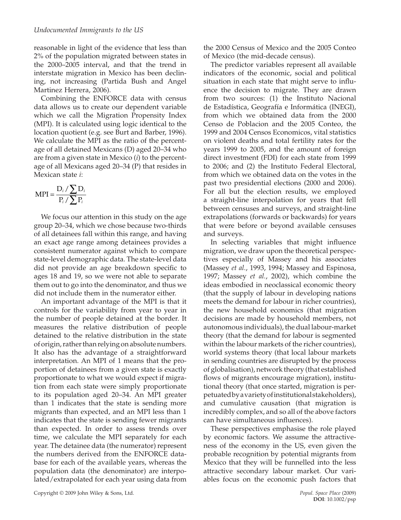reasonable in light of the evidence that less than 2% of the population migrated between states in the 2000–2005 interval, and that the trend in interstate migration in Mexico has been declining, not increasing (Partida Bush and Angel Martinez Herrera, 2006).

Combining the ENFORCE data with census data allows us to create our dependent variable which we call the Migration Propensity Index (MPI). It is calculated using logic identical to the location quotient (e.g. see Burt and Barber, 1996). We calculate the MPI as the ratio of the percentage of all detained Mexicans (D) aged 20–34 who are from a given state in Mexico (*i*) to the percentage of all Mexicans aged 20–34 (P) that resides in Mexican state *i*:

$$
MPI = \frac{D_i / \sum D_i}{P_i / \sum P_i}
$$

We focus our attention in this study on the age group 20–34, which we chose because two-thirds of all detainees fall within this range, and having an exact age range among detainees provides a consistent numerator against which to compare state-level demographic data. The state-level data did not provide an age breakdown specific to ages 18 and 19, so we were not able to separate them out to go into the denominator, and thus we did not include them in the numerator either.

An important advantage of the MPI is that it controls for the variability from year to year in the number of people detained at the border. It measures the relative distribution of people detained to the relative distribution in the state of origin, rather than relying on absolute numbers. It also has the advantage of a straightforward interpretation. An MPI of 1 means that the proportion of detainees from a given state is exactly proportionate to what we would expect if migration from each state were simply proportionate to its population aged 20–34. An MPI greater than 1 indicates that the state is sending more migrants than expected, and an MPI less than 1 indicates that the state is sending fewer migrants than expected. In order to assess trends over time, we calculate the MPI separately for each year. The detainee data (the numerator) represent the numbers derived from the ENFORCE database for each of the available years, whereas the population data (the denominator) are interpolated/extrapolated for each year using data from

the 2000 Census of Mexico and the 2005 Conteo of Mexico (the mid-decade census).

The predictor variables represent all available indicators of the economic, social and political situation in each state that might serve to influence the decision to migrate. They are drawn from two sources: (1) the Instituto Nacional de Estadística, Geografía e Informática (INEGI), from which we obtained data from the 2000 Censo de Poblacion and the 2005 Conteo, the 1999 and 2004 Censos Economicos, vital statistics on violent deaths and total fertility rates for the years 1999 to 2005, and the amount of foreign direct investment (FDI) for each state from 1999 to 2006; and (2) the Instituto Federal Electoral, from which we obtained data on the votes in the past two presidential elections (2000 and 2006). For all but the election results, we employed a straight-line interpolation for years that fell between censuses and surveys, and straight-line extrapolations (forwards or backwards) for years that were before or beyond available censuses and surveys.

In selecting variables that might influence migration, we draw upon the theoretical perspectives especially of Massey and his associates (Massey *et al.*, 1993, 1994; Massey and Espinosa, 1997; Massey *et al.*, 2002), which combine the ideas embodied in neoclassical economic theory (that the supply of labour in developing nations meets the demand for labour in richer countries), the new household economics (that migration decisions are made by household members, not autonomous individuals), the dual labour-market theory (that the demand for labour is segmented within the labour markets of the richer countries), world systems theory (that local labour markets in sending countries are disrupted by the process of globalisation), network theory (that established flows of migrants encourage migration), institutional theory (that once started, migration is perpetuated by a variety of institutional stakeholders), and cumulative causation (that migration is incredibly complex, and so all of the above factors can have simultaneous influences).

These perspectives emphasise the role played by economic factors. We assume the attractiveness of the economy in the US, even given the probable recognition by potential migrants from Mexico that they will be funnelled into the less attractive secondary labour market. Our variables focus on the economic push factors that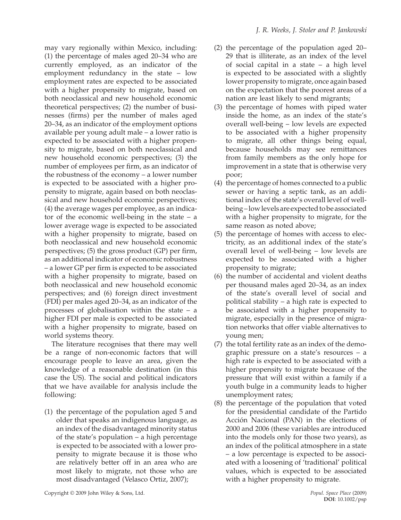may vary regionally within Mexico, including: (1) the percentage of males aged 20–34 who are currently employed, as an indicator of the employment redundancy in the state – low employment rates are expected to be associated with a higher propensity to migrate, based on both neoclassical and new household economic theoretical perspectives; (2) the number of businesses (firms) per the number of males aged 20–34, as an indicator of the employment options available per young adult male – a lower ratio is expected to be associated with a higher propensity to migrate, based on both neoclassical and new household economic perspectives; (3) the number of employees per firm, as an indicator of the robustness of the economy – a lower number is expected to be associated with a higher propensity to migrate, again based on both neoclassical and new household economic perspectives; (4) the average wages per employee, as an indicator of the economic well-being in the state  $-$  a lower average wage is expected to be associated with a higher propensity to migrate, based on both neoclassical and new household economic perspectives; (5) the gross product (GP) per firm, as an additional indicator of economic robustness – a lower GP per firm is expected to be associated with a higher propensity to migrate, based on both neoclassical and new household economic perspectives; and (6) foreign direct investment (FDI) per males aged 20–34, as an indicator of the processes of globalisation within the state – a higher FDI per male is expected to be associated with a higher propensity to migrate, based on world systems theory.

The literature recognises that there may well be a range of non-economic factors that will encourage people to leave an area, given the knowledge of a reasonable destination (in this case the US). The social and political indicators that we have available for analysis include the following:

(1) the percentage of the population aged 5 and older that speaks an indigenous language, as an index of the disadvantaged minority status of the state's population – a high percentage is expected to be associated with a lower propensity to migrate because it is those who are relatively better off in an area who are most likely to migrate, not those who are most disadvantaged (Velasco Ortiz, 2007);

- (2) the percentage of the population aged 20– 29 that is illiterate, as an index of the level of social capital in a state – a high level is expected to be associated with a slightly lower propensity to migrate, once again based on the expectation that the poorest areas of a nation are least likely to send migrants;
- (3) the percentage of homes with piped water inside the home, as an index of the state's overall well-being – low levels are expected to be associated with a higher propensity to migrate, all other things being equal, because households may see remittances from family members as the only hope for improvement in a state that is otherwise very poor;
- (4) the percentage of homes connected to a public sewer or having a septic tank, as an additional index of the state's overall level of wellbeing – low levels are expected to be associated with a higher propensity to migrate, for the same reason as noted above;
- (5) the percentage of homes with access to electricity, as an additional index of the state's overall level of well-being – low levels are expected to be associated with a higher propensity to migrate;
- (6) the number of accidental and violent deaths per thousand males aged 20–34, as an index of the state's overall level of social and political stability – a high rate is expected to be associated with a higher propensity to migrate, especially in the presence of migration networks that offer viable alternatives to young men;
- (7) the total fertility rate as an index of the demographic pressure on a state's resources – a high rate is expected to be associated with a higher propensity to migrate because of the pressure that will exist within a family if a youth bulge in a community leads to higher unemployment rates;
- (8) the percentage of the population that voted for the presidential candidate of the Partido Acción Nacional (PAN) in the elections of 2000 and 2006 (these variables are introduced into the models only for those two years), as an index of the political atmosphere in a state – a low percentage is expected to be associated with a loosening of 'traditional' political values, which is expected to be associated with a higher propensity to migrate.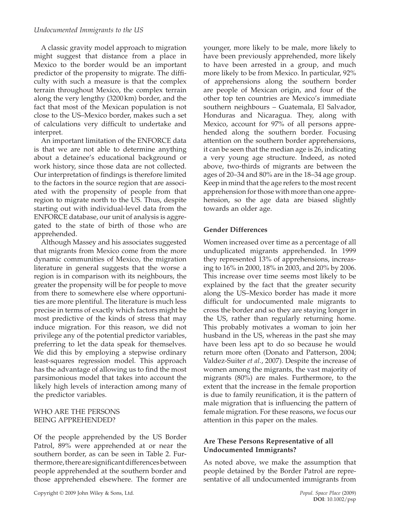A classic gravity model approach to migration might suggest that distance from a place in Mexico to the border would be an important predictor of the propensity to migrate. The diffi culty with such a measure is that the complex terrain throughout Mexico, the complex terrain along the very lengthy (3200 km) border, and the fact that most of the Mexican population is not close to the US–Mexico border, makes such a set of calculations very difficult to undertake and interpret.

An important limitation of the ENFORCE data is that we are not able to determine anything about a detainee's educational background or work history, since those data are not collected. Our interpretation of findings is therefore limited to the factors in the source region that are associated with the propensity of people from that region to migrate north to the US. Thus, despite starting out with individual-level data from the ENFORCE database, our unit of analysis is aggregated to the state of birth of those who are apprehended.

Although Massey and his associates suggested that migrants from Mexico come from the more dynamic communities of Mexico, the migration literature in general suggests that the worse a region is in comparison with its neighbours, the greater the propensity will be for people to move from there to somewhere else where opportunities are more plentiful. The literature is much less precise in terms of exactly which factors might be most predictive of the kinds of stress that may induce migration. For this reason, we did not privilege any of the potential predictor variables, preferring to let the data speak for themselves. We did this by employing a stepwise ordinary least-squares regression model. This approach has the advantage of allowing us to find the most parsimonious model that takes into account the likely high levels of interaction among many of the predictor variables.

# WHO ARE THE PERSONS BEING APPREHENDED?

Of the people apprehended by the US Border Patrol, 89% were apprehended at or near the southern border, as can be seen in Table 2. Furthermore, there are significant differences between people apprehended at the southern border and those apprehended elsewhere. The former are

younger, more likely to be male, more likely to have been previously apprehended, more likely to have been arrested in a group, and much more likely to be from Mexico. In particular, 92% of apprehensions along the southern border are people of Mexican origin, and four of the other top ten countries are Mexico's immediate southern neighbours – Guatemala, El Salvador, Honduras and Nicaragua. They, along with Mexico, account for 97% of all persons apprehended along the southern border. Focusing attention on the southern border apprehensions, it can be seen that the median age is 26, indicating a very young age structure. Indeed, as noted above, two-thirds of migrants are between the ages of 20–34 and 80% are in the 18–34 age group. Keep in mind that the age refers to the most recent apprehension for those with more than one apprehension, so the age data are biased slightly towards an older age.

# **Gender Differences**

Women increased over time as a percentage of all unduplicated migrants apprehended. In 1999 they represented 13% of apprehensions, increasing to 16% in 2000, 18% in 2003, and 20% by 2006. This increase over time seems most likely to be explained by the fact that the greater security along the US–Mexico border has made it more difficult for undocumented male migrants to cross the border and so they are staying longer in the US, rather than regularly returning home. This probably motivates a woman to join her husband in the US, whereas in the past she may have been less apt to do so because he would return more often (Donato and Patterson, 2004; Valdez-Suiter *et al.*, 2007). Despite the increase of women among the migrants, the vast majority of migrants (80%) are males. Furthermore, to the extent that the increase in the female proportion is due to family reunification, it is the pattern of male migration that is influencing the pattern of female migration. For these reasons, we focus our attention in this paper on the males.

# **Are These Persons Representative of all Undocumented Immigrants?**

As noted above, we make the assumption that people detained by the Border Patrol are representative of all undocumented immigrants from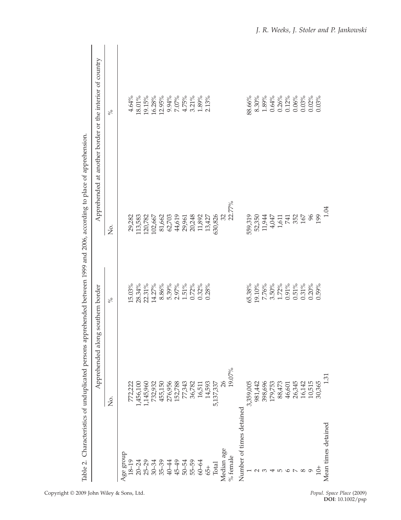| Table 2.                 |                                   |          | Characteristics of unduplicated persons apprehended between 1999 and 2006, according to place of apprehension. |          |
|--------------------------|-----------------------------------|----------|----------------------------------------------------------------------------------------------------------------|----------|
|                          | Apprehended along southern border |          | Apprehended at another border or the interior of country                                                       |          |
|                          | ż                                 | $\%$     | ż                                                                                                              | $\%$     |
| Age group                |                                   |          |                                                                                                                |          |
| $18 - 19$                | 772,222                           | 15.03%   | 29,282                                                                                                         | 4.64%    |
| $20 - 24$                | 1,456,100                         | 28.34%   | 113,583                                                                                                        | 18.01%   |
| $25 - 29$                | 1,145,960                         | 22.31%   | 120,782                                                                                                        | 19.15%   |
| $30 - 34$                | 732,932                           | 14.27%   | 102,667                                                                                                        | 16.28%   |
| $35 - 39$                | 455,150                           | $8.86\%$ | 81,662                                                                                                         | 12.95%   |
| $40 - 44$                | 276,956                           | 5.39%    | 62,703                                                                                                         | 9.94%    |
| 45-49                    | 152,788                           | 2.97%    | 44,619                                                                                                         | $7.07\%$ |
| 50-54                    | 77,343                            | $1.51\%$ | 29,961                                                                                                         | 4.75%    |
| 55-59                    | 36,782                            | 0.72%    | 20,248                                                                                                         | $3.21\%$ |
| $60 - 64$                | 16,511                            | $0.32\%$ | 11,892                                                                                                         | $1.89\%$ |
| $65+$                    | 14,593                            | 0.28%    | 13,427                                                                                                         | 2.13%    |
| $\rm Total$              | 5,137,337                         |          | 630,826                                                                                                        |          |
| Median age               | 26                                |          | 32                                                                                                             |          |
| % female                 | 19.07%                            |          | 22.77%                                                                                                         |          |
| Number of times detained |                                   |          |                                                                                                                |          |
|                          | 3,359,005                         | 65.38%   | 559,319                                                                                                        | 88.66%   |
|                          | 981,442                           | 19.10%   | 52,350                                                                                                         | 8.30%    |
|                          | 398,696                           | 7.76%    | 11,944                                                                                                         | 1.89%    |
| 4                        | 179,753                           | $3.50\%$ | $4,047$                                                                                                        | 0.64%    |
| ഥ                        | 88,473                            | $1.72\%$ | 1,611                                                                                                          | 0.26%    |
| $\circ$                  | 46,601                            | $0.91\%$ | 741<br>352<br>167<br>99                                                                                        | $0.12\%$ |
| Þ                        | 26,345                            | $0.51\%$ |                                                                                                                | $0.06\%$ |
| $\infty$                 | 16,142                            | $0.31\%$ |                                                                                                                | 0.03%    |
|                          | 10,515                            | $0.20\%$ |                                                                                                                | 0.02%    |
|                          | 30,365                            | 0.59%    |                                                                                                                | 0.03%    |
| Mean times detained      | 1.31                              |          | 1.04                                                                                                           |          |

acording to place of apprehension Table 2. Characteristics of unduplicated persons apprehended between 1999 and 2006, according to place of app rehension. anded between 1999 and 2006  $\frac{1}{3}$ į Ì  $\sim$ ÷ र्न  $\frac{1}{2}$  $\ddot{a}$  $\frac{9}{4}$ 

Copyright © 2009 John Wiley & Sons, Ltd.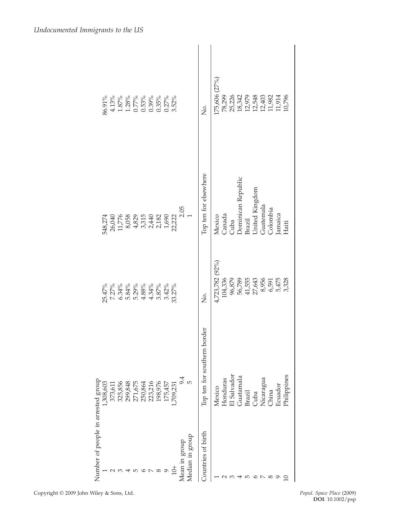|                                                                                                                              | 175,606 (27%)<br>25,226<br>18,342<br>12,979<br>12,548<br>11,914<br>11,914<br>78,299<br>10,796<br>Ş.                                                     |
|------------------------------------------------------------------------------------------------------------------------------|---------------------------------------------------------------------------------------------------------------------------------------------------------|
| $2.05$<br>1<br>26,040<br>11,776<br>2058,0315<br>2010<br>2021<br>2022<br>2022<br>548,274                                      | Top ten for elsewhere<br>Dominican Republic<br>United Kingdom<br>Guatemala<br>Colombia<br>Jamaica<br>Canada<br>Mexico<br>Brazil<br>Cuba<br>Haiti        |
| $7.27\%$ $7.34\%$ $6.34\%$ $9.8\%$ $9.8\%$ $1.34\%$ $1.34\%$ $1.34\%$ $1.34\%$ $1.34\%$<br>3.42%<br>33.27%<br>25.47%         | 4,723,782 (92%)<br>96,879<br>56,789<br>41,555<br>27,643<br>8,956<br>6,591<br>5,475<br>3,328<br>104,336<br>Σ.                                            |
| о. го<br>04<br>198,976<br>1,308,603<br>299,848<br>250,864<br>223,216<br>175,457<br>325,856<br>271,675<br>1,709,231<br>373,61 | Top ten for southern border<br>El Salvador<br>Philippines<br>Guatamala<br>Nicaragua<br>Honduras<br>Ecuador<br>Mexico<br>China<br>$\bf {Brazil}$<br>Cuba |
| Number of people in arrested group<br>Median in group<br>Mean in group<br>₫<br>$\mathcal{O}$<br>$^{\circ}$                   | Countries of birth                                                                                                                                      |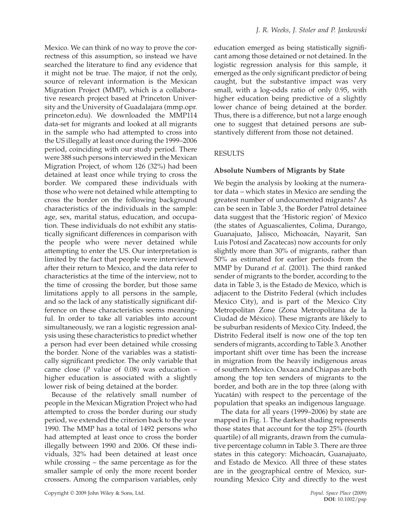Mexico. We can think of no way to prove the correctness of this assumption, so instead we have searched the literature to find any evidence that it might not be true. The major, if not the only, source of relevant information is the Mexican Migration Project (MMP), which is a collaborative research project based at Princeton University and the University of Guadalajara (mmp.opr. princeton.edu). We downloaded the MMP114 data-set for migrants and looked at all migrants in the sample who had attempted to cross into the US illegally at least once during the 1999–2006 period, coinciding with our study period. There were 388 such persons interviewed in the Mexican Migration Project, of whom 126 (32%) had been detained at least once while trying to cross the border. We compared these individuals with those who were not detained while attempting to cross the border on the following background characteristics of the individuals in the sample: age, sex, marital status, education, and occupation. These individuals do not exhibit any statistically significant differences in comparison with the people who were never detained while attempting to enter the US. Our interpretation is limited by the fact that people were interviewed after their return to Mexico, and the data refer to characteristics at the time of the interview, not to the time of crossing the border, but those same limitations apply to all persons in the sample, and so the lack of any statistically significant difference on these characteristics seems meaningful. In order to take all variables into account simultaneously, we ran a logistic regression analysis using these characteristics to predict whether a person had ever been detained while crossing the border. None of the variables was a statistically significant predictor. The only variable that came close (*P* value of 0.08) was education – higher education is associated with a slightly lower risk of being detained at the border.

Because of the relatively small number of people in the Mexican Migration Project who had attempted to cross the border during our study period, we extended the criterion back to the year 1990. The MMP has a total of 1492 persons who had attempted at least once to cross the border illegally between 1990 and 2006. Of these individuals, 32% had been detained at least once while crossing – the same percentage as for the smaller sample of only the more recent border crossers. Among the comparison variables, only

education emerged as being statistically signifi cant among those detained or not detained. In the logistic regression analysis for this sample, it emerged as the only significant predictor of being caught, but the substantive impact was very small, with a log-odds ratio of only 0.95, with higher education being predictive of a slightly lower chance of being detained at the border. Thus, there is a difference, but not a large enough one to suggest that detained persons are substantively different from those not detained.

# RESULTS

# **Absolute Numbers of Migrants by State**

We begin the analysis by looking at the numerator data – which states in Mexico are sending the greatest number of undocumented migrants? As can be seen in Table 3, the Border Patrol detainee data suggest that the 'Historic region' of Mexico (the states of Aguascalientes, Colima, Durango, Guanajuato, Jalisco, Michoacán, Nayarit, San Luis Potosí and Zacatecas) now accounts for only slightly more than 30% of migrants, rather than 50% as estimated for earlier periods from the MMP by Durand *et al.* (2001). The third ranked sender of migrants to the border, according to the data in Table 3, is the Estado de Mexico, which is adjacent to the Distrito Federal (which includes Mexico City), and is part of the Mexico City Metropolitan Zone (Zona Metropolitana de la Ciudad de México). These migrants are likely to be suburban residents of Mexico City. Indeed, the Distrito Federal itself is now one of the top ten senders of migrants, according to Table 3. Another important shift over time has been the increase in migration from the heavily indigenous areas of southern Mexico. Oaxaca and Chiapas are both among the top ten senders of migrants to the border, and both are in the top three (along with Yucatán) with respect to the percentage of the population that speaks an indigenous language.

The data for all years (1999–2006) by state are mapped in Fig. 1. The darkest shading represents those states that account for the top 25% (fourth quartile) of all migrants, drawn from the cumulative percentage column in Table 3. There are three states in this category: Michoacán, Guanajuato, and Estado de Mexico. All three of these states are in the geographical centre of Mexico, surrounding Mexico City and directly to the west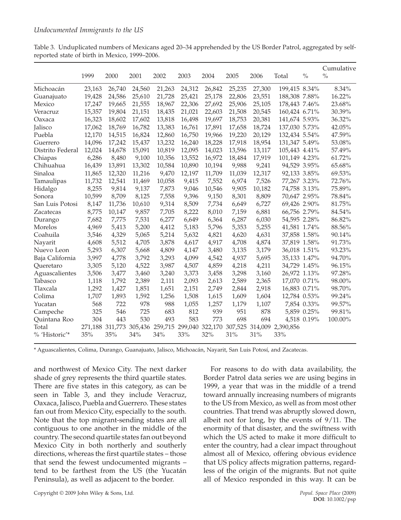| Table 3. Unduplicated numbers of Mexicans aged 20-34 apprehended by the US Border Patrol, aggregated by self- |  |  |  |
|---------------------------------------------------------------------------------------------------------------|--|--|--|
| reported state of birth in Mexico, 1999–2006.                                                                 |  |  |  |

|                  | 1999   | 2000            | 2001    | 2002    | 2003    | 2004    | 2005    | 2006    | Total         | $\frac{0}{0}$ | Cumulative<br>$\frac{0}{0}$ |
|------------------|--------|-----------------|---------|---------|---------|---------|---------|---------|---------------|---------------|-----------------------------|
|                  |        |                 |         |         |         |         |         |         |               |               |                             |
| Michoacán        | 23,163 | 26,740          | 24,560  | 21,263  | 24,312  | 26,842  | 25,235  | 27,300  | 199,415 8.34% |               | 8.34%                       |
| Guanajuato       | 19,428 | 24,586          | 25,610  | 21,728  | 25,421  | 25,178  | 22,806  | 23,551  | 188,308 7.88% |               | 16.22%                      |
| Mexico           | 17,247 | 19,665          | 21,555  | 18,967  | 22,306  | 27,692  | 25,906  | 25,105  | 178,443 7.46% |               | 23.68%                      |
| Veracruz         | 15,357 | 19,804          | 21,151  | 18,435  | 21,021  | 22,603  | 21,508  | 20,545  | 160,424 6.71% |               | 30.39%                      |
| Oaxaca           | 16,323 | 18,602          | 17,602  | 13,818  | 16,498  | 19,697  | 18,753  | 20,381  | 141,674 5.93% |               | 36.32%                      |
| Jalisco          | 17,062 | 18,769          | 16,782  | 13,383  | 16,761  | 17,891  | 17,658  | 18,724  | 137,030 5.73% |               | 42.05%                      |
| Puebla           | 12,170 | 14,515          | 16,824  | 12,860  | 16,750  | 19,966  | 19,220  | 20,129  | 132,434 5.54% |               | 47.59%                      |
| Guerrero         | 14,096 | 17,242          | 15,437  | 13,232  | 16,240  | 18,228  | 17,918  | 18,954  | 131,347 5.49% |               | 53.08%                      |
| Distrito Federal | 12,024 | 14,678          | 15,091  | 10,819  | 12,095  | 14,023  | 13,596  | 13,117  | 105,443 4.41% |               | 57.49%                      |
| Chiapas          | 6,286  | 8,480           | 9,100   | 10,356  | 13,552  | 16,972  | 18,484  | 17,919  | 101,149 4.23% |               | 61.72%                      |
| Chihuahua        | 16,439 | 13,891          | 13,302  | 10,584  | 10,890  | 10,194  | 9,988   | 9,241   | 94,529 3.95%  |               | 65.68%                      |
| Sinaloa          | 11,865 | 12,320          | 11,216  | 9,470   | 12,197  | 11,709  | 11,039  | 12,317  | 92,133 3.85%  |               | 69.53%                      |
| Tamaulipas       | 11,732 | 12,541          | 11,469  | 10,058  | 9,415   | 7,552   | 6,974   | 7,526   | 77,267 3.23%  |               | 72.76%                      |
| Hidalgo          | 8,255  | 9,814           | 9,137   | 7,873   | 9,046   | 10,546  | 9,905   | 10,182  | 74,758 3.13%  |               | 75.89%                      |
| Sonora           | 10,599 | 8,709           | 8,125   | 7,558   | 9,396   | 9,150   | 8,301   | 8,809   | 70,647 2.95%  |               | 78.84%                      |
| San Luis Potosi  | 8,147  | 11,736          | 10,610  | 9,314   | 8,509   | 7,734   | 6,649   | 6,727   | 69,426 2.90%  |               | 81.75%                      |
| Zacatecas        | 8,775  | 10,147          | 9,857   | 7,705   | 8,222   | 8,010   | 7,159   | 6,881   | 66,756 2.79%  |               | 84.54%                      |
| Durango          | 7,682  | 7,775           | 7,531   | 6,277   | 6,649   | 6,364   | 6,287   | 6,030   | 54,595 2.28%  |               | 86.82%                      |
| Morelos          | 4,969  | 5,413           | 5,200   | 4,412   | 5,183   | 5,796   | 5,353   | 5,255   | 41,581 1.74%  |               | 88.56%                      |
| Coahuila         | 3,546  | 4,329           | 5,065   | 5,214   | 5,632   | 4,821   | 4,620   | 4,631   | 37,858 1.58%  |               | 90.14%                      |
| Nayarit          | 4,608  | 5,512           | 4,705   | 3,878   | 4,617   | 4,917   | 4,708   | 4,874   | 37,819 1.58%  |               | 91.73%                      |
| Nuevo Leon       | 5,293  | 6,307           | 5,668   | 4,809   | 4,147   | 3,480   | 3,135   | 3,179   | 36,018 1.51%  |               | 93.23%                      |
| Baja California  | 3,997  | 4,778           | 3,792   | 3,293   | 4,099   | 4,542   | 4,937   | 5,695   | 35,133 1.47%  |               | 94.70%                      |
| Oueretaro        | 3,305  | 5,120           | 4,522   | 3,987   | 4,507   | 4,859   | 4,218   | 4,211   | 34,729 1.45%  |               | 96.15%                      |
| Aguascalientes   | 3,506  | 3,477           | 3,460   | 3,240   | 3,373   | 3,458   | 3,298   | 3,160   | 26,972 1.13%  |               | 97.28%                      |
| Tabasco          | 1,118  | 1,792           | 2,389   | 2,111   | 2,093   | 2,613   | 2,589   | 2,365   | 17,070 0.71%  |               | 98.00%                      |
| Tlaxcala         | 1,292  | 1,427           | 1,851   | 1,651   | 2,151   | 2,749   | 2,844   | 2,918   | 16,883 0.71%  |               | 98.70%                      |
| Colima           | 1,707  | 1,893           | 1,592   | 1,256   | 1,508   | 1,615   | 1,609   | 1,604   | 12,784 0.53%  |               | 99.24%                      |
| Yucatan          | 568    | 722             | 978     | 988     | 1,055   | 1,257   | 1,179   | 1,107   |               | 7,854 0.33%   | 99.57%                      |
| Campeche         | 325    | 546             | 725     | 683     | 812     | 939     | 951     | 878     |               | 5,859 0.25%   | 99.81%                      |
| Quintana Roo     | 304    | 443             | 530     | 493     | 583     | 773     | 698     | 694     |               | 4,518 0.19%   | 100.00%                     |
| Total            |        | 271,188 311,773 | 305,436 | 259,715 | 299,040 | 322,170 | 307,525 | 314,009 | 2,390,856     |               |                             |
| % 'Historic'*    | 35%    | 35%             | 34%     | 34%     | 33%     | 32%     | 31%     | 31%     | 33%           |               |                             |

\* Aguascalientes, Colima, Durango, Guanajuato, Jalisco, Michoacán, Nayarit, San Luis Potosí, and Zacatecas.

and northwest of Mexico City. The next darker shade of grey represents the third quartile states. There are five states in this category, as can be seen in Table 3, and they include Veracruz, Oaxaca, Jalisco, Puebla and Guerrero. These states fan out from Mexico City, especially to the south. Note that the top migrant-sending states are all contiguous to one another in the middle of the country. The second quartile states fan out beyond Mexico City in both northerly and southerly directions, whereas the first quartile states – those that send the fewest undocumented migrants – tend to be farthest from the US (the Yucatán Peninsula), as well as adjacent to the border.

For reasons to do with data availability, the Border Patrol data series we are using begins in 1999, a year that was in the middle of a trend toward annually increasing numbers of migrants to the US from Mexico, as well as from most other countries. That trend was abruptly slowed down, albeit not for long, by the events of 9/11. The enormity of that disaster, and the swiftness with which the US acted to make it more difficult to enter the country, had a clear impact throughout almost all of Mexico, offering obvious evidence that US policy affects migration patterns, regardless of the origin of the migrants. But not quite all of Mexico responded in this way. It can be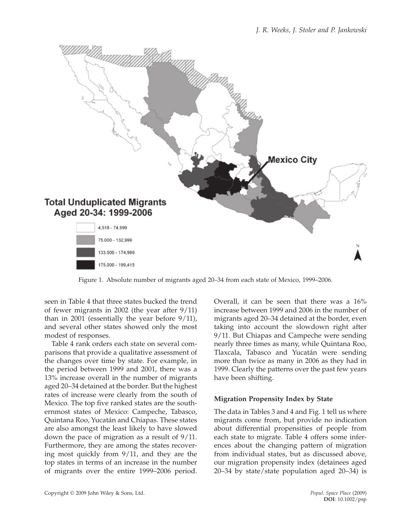

Figure 1. Absolute number of migrants aged 20–34 from each state of Mexico, 1999–2006.

seen in Table 4 that three states bucked the trend of fewer migrants in 2002 (the year after 9/11) than in 2001 (essentially the year before 9/11), and several other states showed only the most modest of responses.

Table 4 rank orders each state on several comparisons that provide a qualitative assessment of the changes over time by state. For example, in the period between 1999 and 2001, there was a 13% increase overall in the number of migrants aged 20–34 detained at the border. But the highest rates of increase were clearly from the south of Mexico. The top five ranked states are the southernmost states of Mexico: Campeche, Tabasco, Quintana Roo, Yucatán and Chiapas. These states are also amongst the least likely to have slowed down the pace of migration as a result of 9/11. Furthermore, they are among the states recovering most quickly from 9/11, and they are the top states in terms of an increase in the number of migrants over the entire 1999–2006 period.

Overall, it can be seen that there was a 16% increase between 1999 and 2006 in the number of migrants aged 20–34 detained at the border, even taking into account the slowdown right after 9/11. But Chiapas and Campeche were sending nearly three times as many, while Quintana Roo, Tlaxcala, Tabasco and Yucatán were sending more than twice as many in 2006 as they had in 1999. Clearly the patterns over the past few years have been shifting.

# **Migration Propensity Index by State**

The data in Tables 3 and 4 and Fig. 1 tell us where migrants come from, but provide no indication about differential propensities of people from each state to migrate. Table 4 offers some inferences about the changing pattern of migration from individual states, but as discussed above, our migration propensity index (detainees aged 20–34 by state/state population aged 20–34) is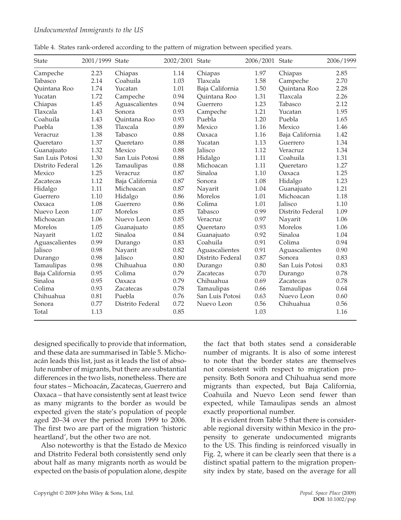| State            | 2001/1999 State |                  | 2002/2001 State |                  | 2006/2001 State |                  | 2006/1999 |
|------------------|-----------------|------------------|-----------------|------------------|-----------------|------------------|-----------|
| Campeche         | 2.23            | Chiapas          | 1.14            | Chiapas          | 1.97            | Chiapas          | 2.85      |
| Tabasco          | 2.14            | Coahuila         | 1.03            | Tlaxcala         | 1.58            | Campeche         | 2.70      |
| Quintana Roo     | 1.74            | Yucatan          | 1.01            | Baja California  | 1.50            | Quintana Roo     | 2.28      |
| Yucatan          | 1.72            | Campeche         | 0.94            | Quintana Roo     | 1.31            | Tlaxcala         | 2.26      |
| Chiapas          | 1.45            | Aguascalientes   | 0.94            | Guerrero         | 1.23            | Tabasco          | 2.12      |
| Tlaxcala         | 1.43            | Sonora           | 0.93            | Campeche         | 1.21            | Yucatan          | 1.95      |
| Coahuila         | 1.43            | Ouintana Roo     | 0.93            | Puebla           | 1.20            | Puebla           | 1.65      |
| Puebla           | 1.38            | Tlaxcala         | 0.89            | Mexico           | 1.16            | Mexico           | 1.46      |
| Veracruz         | 1.38            | Tabasco          | 0.88            | Oaxaca           | 1.16            | Baja California  | 1.42      |
| Queretaro        | 1.37            | Oueretaro        | 0.88            | Yucatan          | 1.13            | Guerrero         | 1.34      |
| Guanajuato       | 1.32            | Mexico           | 0.88            | Jalisco          | 1.12            | Veracruz         | 1.34      |
| San Luis Potosi  | 1.30            | San Luis Potosi  | 0.88            | Hidalgo          | 1.11            | Coahuila         | 1.31      |
| Distrito Federal | 1.26            | Tamaulipas       | 0.88            | Michoacan        | 1.11            | Oueretaro        | 1.27      |
| Mexico           | 1.25            | Veracruz         | 0.87            | Sinaloa          | 1.10            | Oaxaca           | 1.25      |
| Zacatecas        | 1.12            | Baja California  | 0.87            | Sonora           | 1.08            | Hidalgo          | 1.23      |
| Hidalgo          | 1.11            | Michoacan        | 0.87            | Nayarit          | 1.04            | Guanajuato       | 1.21      |
| Guerrero         | 1.10            | Hidalgo          | 0.86            | Morelos          | 1.01            | Michoacan        | 1.18      |
| Oaxaca           | 1.08            | Guerrero         | 0.86            | Colima           | 1.01            | <b>Jalisco</b>   | 1.10      |
| Nuevo Leon       | 1.07            | Morelos          | 0.85            | Tabasco          | 0.99            | Distrito Federal | 1.09      |
| Michoacan        | 1.06            | Nuevo Leon       | 0.85            | Veracruz         | 0.97            | Nayarit          | 1.06      |
| Morelos          | 1.05            | Guanajuato       | 0.85            | Oueretaro        | 0.93            | Morelos          | 1.06      |
| Nayarit          | 1.02            | Sinaloa          | 0.84            | Guanajuato       | 0.92            | Sinaloa          | 1.04      |
| Aguascalientes   | 0.99            | Durango          | 0.83            | Coahuila         | 0.91            | Colima           | 0.94      |
| Jalisco          | 0.98            | Nayarit          | 0.82            | Aguascalientes   | 0.91            | Aguascalientes   | 0.90      |
| Durango          | 0.98            | <b>Jalisco</b>   | 0.80            | Distrito Federal | 0.87            | Sonora           | 0.83      |
| Tamaulipas       | 0.98            | Chihuahua        | 0.80            | Durango          | 0.80            | San Luis Potosi  | 0.83      |
| Baja California  | 0.95            | Colima           | 0.79            | Zacatecas        | 0.70            | Durango          | 0.78      |
| Sinaloa          | 0.95            | Oaxaca           | 0.79            | Chihuahua        | 0.69            | Zacatecas        | 0.78      |
| Colima           | 0.93            | Zacatecas        | 0.78            | Tamaulipas       | 0.66            | Tamaulipas       | 0.64      |
| Chihuahua        | 0.81            | Puebla           | 0.76            | San Luis Potosi  | 0.63            | Nuevo Leon       | 0.60      |
| Sonora           | 0.77            | Distrito Federal | 0.72            | Nuevo Leon       | 0.56            | Chihuahua        | 0.56      |
| Total            | 1.13            |                  | 0.85            |                  | 1.03            |                  | 1.16      |

Table 4. States rank-ordered according to the pattern of migration between specified years.

designed specifically to provide that information, and these data are summarised in Table 5. Michoacán leads this list, just as it leads the list of absolute number of migrants, but there are substantial differences in the two lists, nonetheless. There are four states – Michoacán, Zacatecas, Guerrero and Oaxaca – that have consistently sent at least twice as many migrants to the border as would be expected given the state's population of people aged 20–34 over the period from 1999 to 2006. The first two are part of the migration 'historic heartland', but the other two are not.

Also noteworthy is that the Estado de Mexico and Distrito Federal both consistently send only about half as many migrants north as would be expected on the basis of population alone, despite

the fact that both states send a considerable number of migrants. It is also of some interest to note that the border states are themselves not consistent with respect to migration propensity. Both Sonora and Chihuahua send more migrants than expected, but Baja California, Coahuila and Nuevo Leon send fewer than expected, while Tamaulipas sends an almost exactly proportional number.

It is evident from Table 5 that there is considerable regional diversity within Mexico in the propensity to generate undocumented migrants to the US. This finding is reinforced visually in Fig. 2, where it can be clearly seen that there is a distinct spatial pattern to the migration propensity index by state, based on the average for all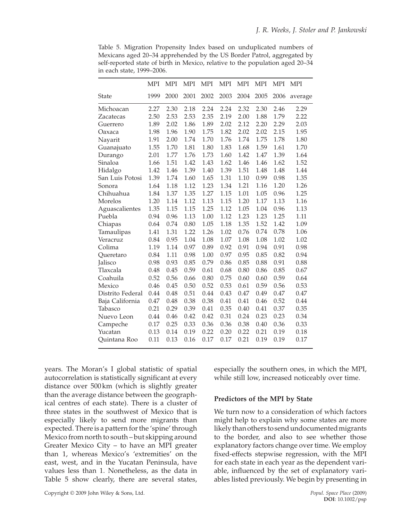Table 5. Migration Propensity Index based on unduplicated numbers of Mexicans aged 20–34 apprehended by the US Border Patrol, aggregated by self-reported state of birth in Mexico, relative to the population aged 20–34 in each state, 1999–2006.

|                  | <b>MPI</b> | <b>MPI</b> | <b>MPI</b> | <b>MPI</b> | <b>MPI</b> | <b>MPI</b> | <b>MPI</b> | <b>MPI</b> | <b>MPI</b> |
|------------------|------------|------------|------------|------------|------------|------------|------------|------------|------------|
| State            | 1999       | 2000       | 2001       | 2002       | 2003       | 2004       | 2005       | 2006       | average    |
| Michoacan        | 2.27       | 2.30       | 2.18       | 2.24       | 2.24       | 2.32       | 2.30       | 2.46       | 2.29       |
| Zacatecas        | 2.50       | 2.53       | 2.53       | 2.35       | 2.19       | 2.00       | 1.88       | 1.79       | 2.22       |
| Guerrero         | 1.89       | 2.02       | 1.86       | 1.89       | 2.02       | 2.12       | 2.20       | 2.29       | 2.03       |
| Oaxaca           | 1.98       | 1.96       | 1.90       | 1.75       | 1.82       | 2.02       | 2.02       | 2.15       | 1.95       |
| Nayarit          | 1.91       | 2.00       | 1.74       | 1.70       | 1.76       | 1.74       | 1.75       | 1.78       | 1.80       |
| Guanajuato       | 1.55       | 1.70       | 1.81       | 1.80       | 1.83       | 1.68       | 1.59       | 1.61       | 1.70       |
| Durango          | 2.01       | 1.77       | 1.76       | 1.73       | 1.60       | 1.42       | 1.47       | 1.39       | 1.64       |
| Sinaloa          | 1.66       | 1.51       | 1.42       | 1.43       | 1.62       | 1.46       | 1.46       | 1.62       | 1.52       |
| Hidalgo          | 1.42       | 1.46       | 1.39       | 1.40       | 1.39       | 1.51       | 1.48       | 1.48       | 1.44       |
| San Luis Potosi  | 1.39       | 1.74       | 1.60       | 1.65       | 1.31       | 1.10       | 0.99       | 0.98       | 1.35       |
| Sonora           | 1.64       | 1.18       | 1.12       | 1.23       | 1.34       | 1.21       | 1.16       | 1.20       | 1.26       |
| Chihuahua        | 1.84       | 1.37       | 1.35       | 1.27       | 1.15       | 1.01       | 1.05       | 0.96       | 1.25       |
| Morelos          | 1.20       | 1.14       | 1.12       | 1.13       | 1.15       | 1.20       | 1.17       | 1.13       | 1.16       |
| Aguascalientes   | 1.35       | 1.15       | 1.15       | 1.25       | 1.12       | 1.05       | 1.04       | 0.96       | 1.13       |
| Puebla           | 0.94       | 0.96       | 1.13       | 1.00       | 1.12       | 1.23       | 1.23       | 1.25       | 1.11       |
| Chiapas          | 0.64       | 0.74       | 0.80       | 1.05       | 1.18       | 1.35       | 1.52       | 1.42       | 1.09       |
| Tamaulipas       | 1.41       | 1.31       | 1.22       | 1.26       | 1.02       | 0.76       | 0.74       | 0.78       | 1.06       |
| Veracruz         | 0.84       | 0.95       | 1.04       | 1.08       | 1.07       | 1.08       | 1.08       | 1.02       | 1.02       |
| Colima           | 1.19       | 1.14       | 0.97       | 0.89       | 0.92       | 0.91       | 0.94       | 0.91       | 0.98       |
| Queretaro        | 0.84       | 1.11       | 0.98       | 1.00       | 0.97       | 0.95       | 0.85       | 0.82       | 0.94       |
| Jalisco          | 0.98       | 0.93       | 0.85       | 0.79       | 0.86       | 0.85       | 0.88       | 0.91       | 0.88       |
| Tlaxcala         | 0.48       | 0.45       | 0.59       | 0.61       | 0.68       | 0.80       | 0.86       | 0.85       | 0.67       |
| Coahuila         | 0.52       | 0.56       | 0.66       | 0.80       | 0.75       | 0.60       | 0.60       | 0.59       | 0.64       |
| Mexico           | 0.46       | 0.45       | 0.50       | 0.52       | 0.53       | 0.61       | 0.59       | 0.56       | 0.53       |
| Distrito Federal | 0.44       | 0.48       | 0.51       | 0.44       | 0.43       | 0.47       | 0.49       | 0.47       | 0.47       |
| Baja California  | 0.47       | 0.48       | 0.38       | 0.38       | 0.41       | 0.41       | 0.46       | 0.52       | 0.44       |
| Tabasco          | 0.21       | 0.29       | 0.39       | 0.41       | 0.35       | 0.40       | 0.41       | 0.37       | 0.35       |
| Nuevo Leon       | 0.44       | 0.46       | 0.42       | 0.42       | 0.31       | 0.24       | 0.23       | 0.23       | 0.34       |
| Campeche         | 0.17       | 0.25       | 0.33       | 0.36       | 0.36       | 0.38       | 0.40       | 0.36       | 0.33       |
| Yucatan          | 0.13       | 0.14       | 0.19       | 0.22       | 0.20       | 0.22       | 0.21       | 0.19       | 0.18       |
| Quintana Roo     | 0.11       | 0.13       | 0.16       | 0.17       | 0.17       | 0.21       | 0.19       | 0.19       | 0.17       |

years. The Moran's I global statistic of spatial autocorrelation is statistically significant at every distance over 500 km (which is slightly greater than the average distance between the geographical centres of each state). There is a cluster of three states in the southwest of Mexico that is especially likely to send more migrants than expected. There is a pattern for the 'spine' through Mexico from north to south – but skipping around Greater Mexico City – to have an MPI greater than 1, whereas Mexico's 'extremities' on the east, west, and in the Yucatan Peninsula, have values less than 1. Nonetheless, as the data in Table 5 show clearly, there are several states,

especially the southern ones, in which the MPI, while still low, increased noticeably over time.

### **Predictors of the MPI by State**

We turn now to a consideration of which factors might help to explain why some states are more likely than others to send undocumented migrants to the border, and also to see whether those explanatory factors change over time. We employ fixed-effects stepwise regression, with the MPI for each state in each year as the dependent variable, influenced by the set of explanatory variables listed previously. We begin by presenting in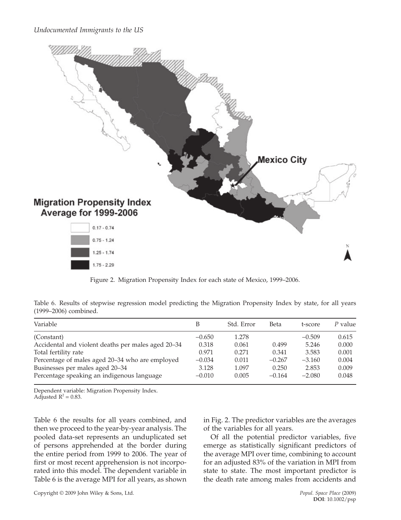

Figure 2. Migration Propensity Index for each state of Mexico, 1999–2006.

|                       | Table 6. Results of stepwise regression model predicting the Migration Propensity Index by state, for all years |  |  |  |  |  |  |
|-----------------------|-----------------------------------------------------------------------------------------------------------------|--|--|--|--|--|--|
| (1999–2006) combined. |                                                                                                                 |  |  |  |  |  |  |

| Variable                                           | B        | Std. Error | Beta     | t-score  | P value |
|----------------------------------------------------|----------|------------|----------|----------|---------|
| (Constant)                                         | $-0.650$ | 1.278      |          | $-0.509$ | 0.615   |
| Accidental and violent deaths per males aged 20-34 | 0.318    | 0.061      | 0.499    | 5.246    | 0.000   |
| Total fertility rate                               | 0.971    | 0.271      | 0.341    | 3.583    | 0.001   |
| Percentage of males aged 20-34 who are employed    | $-0.034$ | 0.011      | $-0.267$ | $-3.160$ | 0.004   |
| Businesses per males aged 20–34                    | 3.128    | 1.097      | 0.250    | 2.853    | 0.009   |
| Percentage speaking an indigenous language         | $-0.010$ | 0.005      | $-0.164$ | $-2.080$ | 0.048   |

Dependent variable: Migration Propensity Index. Adjusted  $R^2 = 0.83$ .

Table 6 the results for all years combined, and then we proceed to the year-by-year analysis. The pooled data-set represents an unduplicated set of persons apprehended at the border during the entire period from 1999 to 2006. The year of first or most recent apprehension is not incorporated into this model. The dependent variable in Table 6 is the average MPI for all years, as shown

in Fig. 2. The predictor variables are the averages of the variables for all years.

Of all the potential predictor variables, five emerge as statistically significant predictors of the average MPI over time, combining to account for an adjusted 83% of the variation in MPI from state to state. The most important predictor is the death rate among males from accidents and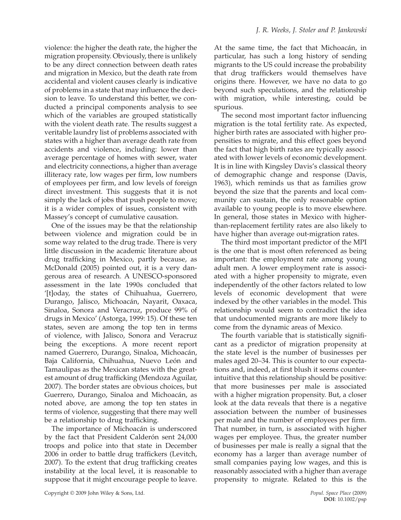violence: the higher the death rate, the higher the migration propensity. Obviously, there is unlikely to be any direct connection between death rates and migration in Mexico, but the death rate from accidental and violent causes clearly is indicative of problems in a state that may influence the decision to leave. To understand this better, we conducted a principal components analysis to see which of the variables are grouped statistically with the violent death rate. The results suggest a veritable laundry list of problems associated with states with a higher than average death rate from accidents and violence, including: lower than average percentage of homes with sewer, water and electricity connections, a higher than average illiteracy rate, low wages per firm, low numbers of employees per firm, and low levels of foreign direct investment. This suggests that it is not simply the lack of jobs that push people to move; it is a wider complex of issues, consistent with Massey's concept of cumulative causation.

One of the issues may be that the relationship between violence and migration could be in some way related to the drug trade. There is very little discussion in the academic literature about drug trafficking in Mexico, partly because, as McDonald (2005) pointed out, it is a very dangerous area of research. A UNESCO-sponsored assessment in the late 1990s concluded that '[t]oday, the states of Chihuahua, Guerrero, Durango, Jalisco, Michoacán, Nayarit, Oaxaca, Sinaloa, Sonora and Veracruz, produce 99% of drugs in Mexico' (Astorga, 1999: 15). Of these ten states, seven are among the top ten in terms of violence, with Jalisco, Sonora and Veracruz being the exceptions. A more recent report named Guerrero, Durango, Sinaloa, Michoacán, Baja California, Chihuahua, Nuevo León and Tamaulipas as the Mexican states with the greatest amount of drug trafficking (Mendoza Aguilar, 2007). The border states are obvious choices, but Guerrero, Durango, Sinaloa and Michoacán, as noted above, are among the top ten states in terms of violence, suggesting that there may well be a relationship to drug trafficking.

The importance of Michoacán is underscored by the fact that President Calderón sent 24,000 troops and police into that state in December 2006 in order to battle drug traffickers (Levitch, 2007). To the extent that drug trafficking creates instability at the local level, it is reasonable to suppose that it might encourage people to leave.

At the same time, the fact that Michoacán, in particular, has such a long history of sending migrants to the US could increase the probability that drug traffickers would themselves have origins there. However, we have no data to go beyond such speculations, and the relationship with migration, while interesting, could be spurious.

The second most important factor influencing migration is the total fertility rate. As expected, higher birth rates are associated with higher propensities to migrate, and this effect goes beyond the fact that high birth rates are typically associated with lower levels of economic development. It is in line with Kingsley Davis's classical theory of demographic change and response (Davis, 1963), which reminds us that as families grow beyond the size that the parents and local community can sustain, the only reasonable option available to young people is to move elsewhere. In general, those states in Mexico with higherthan-replacement fertility rates are also likely to have higher than average out-migration rates.

The third most important predictor of the MPI is the one that is most often referenced as being important: the employment rate among young adult men. A lower employment rate is associated with a higher propensity to migrate, even independently of the other factors related to low levels of economic development that were indexed by the other variables in the model. This relationship would seem to contradict the idea that undocumented migrants are more likely to come from the dynamic areas of Mexico.

The fourth variable that is statistically signifi cant as a predictor of migration propensity at the state level is the number of businesses per males aged 20–34. This is counter to our expectations and, indeed, at first blush it seems counterintuitive that this relationship should be positive: that more businesses per male is associated with a higher migration propensity. But, a closer look at the data reveals that there is a negative association between the number of businesses per male and the number of employees per firm. That number, in turn, is associated with higher wages per employee. Thus, the greater number of businesses per male is really a signal that the economy has a larger than average number of small companies paying low wages, and this is reasonably associated with a higher than average propensity to migrate. Related to this is the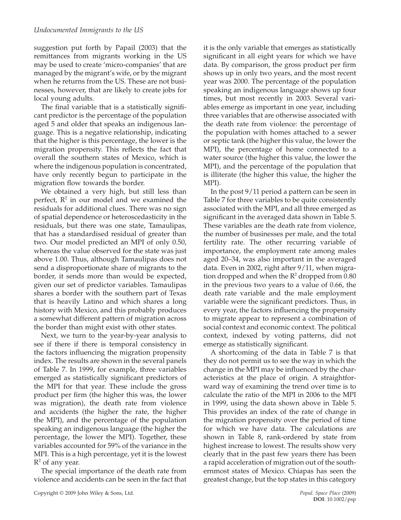suggestion put forth by Papail (2003) that the remittances from migrants working in the US may be used to create 'micro-companies' that are managed by the migrant's wife, or by the migrant when he returns from the US. These are not businesses, however, that are likely to create jobs for local young adults.

The final variable that is a statistically signifi cant predictor is the percentage of the population aged 5 and older that speaks an indigenous language. This is a negative relationship, indicating that the higher is this percentage, the lower is the migration propensity. This reflects the fact that overall the southern states of Mexico, which is where the indigenous population is concentrated, have only recently begun to participate in the migration flow towards the border.

We obtained a very high, but still less than perfect,  $R^2$  in our model and we examined the residuals for additional clues. There was no sign of spatial dependence or heteroscedasticity in the residuals, but there was one state, Tamaulipas, that has a standardised residual of greater than two. Our model predicted an MPI of only 0.50, whereas the value observed for the state was just above 1.00. Thus, although Tamaulipas does not send a disproportionate share of migrants to the border, it sends more than would be expected, given our set of predictor variables. Tamaulipas shares a border with the southern part of Texas that is heavily Latino and which shares a long history with Mexico, and this probably produces a somewhat different pattern of migration across the border than might exist with other states.

Next, we turn to the year-by-year analysis to see if there if there is temporal consistency in the factors influencing the migration propensity index. The results are shown in the several panels of Table 7. In 1999, for example, three variables emerged as statistically significant predictors of the MPI for that year. These include the gross product per firm (the higher this was, the lower was migration), the death rate from violence and accidents (the higher the rate, the higher the MPI), and the percentage of the population speaking an indigenous language (the higher the percentage, the lower the MPI). Together, these variables accounted for 59% of the variance in the MPI. This is a high percentage, yet it is the lowest  $R^2$  of any year.

The special importance of the death rate from violence and accidents can be seen in the fact that

it is the only variable that emerges as statistically significant in all eight years for which we have data. By comparison, the gross product per firm shows up in only two years, and the most recent year was 2000. The percentage of the population speaking an indigenous language shows up four times, but most recently in 2003. Several variables emerge as important in one year, including three variables that are otherwise associated with the death rate from violence: the percentage of the population with homes attached to a sewer or septic tank (the higher this value, the lower the MPI), the percentage of home connected to a water source (the higher this value, the lower the MPI), and the percentage of the population that is illiterate (the higher this value, the higher the MPI).

In the post 9/11 period a pattern can be seen in Table 7 for three variables to be quite consistently associated with the MPI, and all three emerged as significant in the averaged data shown in Table 5. These variables are the death rate from violence, the number of businesses per male, and the total fertility rate. The other recurring variable of importance, the employment rate among males aged 20–34, was also important in the averaged data. Even in 2002, right after 9/11, when migration dropped and when the  $R^2$  dropped from 0.80 in the previous two years to a value of 0.66, the death rate variable and the male employment variable were the significant predictors. Thus, in every year, the factors influencing the propensity to migrate appear to represent a combination of social context and economic context. The political context, indexed by voting patterns, did not emerge as statistically significant.

A shortcoming of the data in Table 7 is that they do not permit us to see the way in which the change in the MPI may be influenced by the characteristics at the place of origin. A straightforward way of examining the trend over time is to calculate the ratio of the MPI in 2006 to the MPI in 1999, using the data shown above in Table 5. This provides an index of the rate of change in the migration propensity over the period of time for which we have data. The calculations are shown in Table 8, rank-ordered by state from highest increase to lowest. The results show very clearly that in the past few years there has been a rapid acceleration of migration out of the southernmost states of Mexico. Chiapas has seen the greatest change, but the top states in this category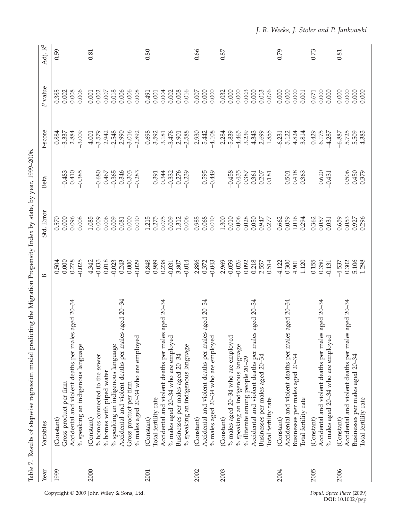|                                          | Year | Variables                                                                                                                                                                                                                                     | $\mathbf{D}$                                                         | Std. Error                                                  | Beta                                                           | t-score                                                                 | $P$ value                                                   | Adj. $\mathbb{R}^2$ |
|------------------------------------------|------|-----------------------------------------------------------------------------------------------------------------------------------------------------------------------------------------------------------------------------------------------|----------------------------------------------------------------------|-------------------------------------------------------------|----------------------------------------------------------------|-------------------------------------------------------------------------|-------------------------------------------------------------|---------------------|
|                                          | 1999 | per males aged 20-34<br>% speaking an indigenous language<br>Accidental and violent deaths<br>Gross product per firm<br>(Constant)                                                                                                            | 0.000<br>0.278<br>0.504<br>$-0.025$                                  | 0.000<br>0.570<br>0.096<br>0.008                            | 0.410<br>$-0.483$<br>$-0.385$                                  | 2.884<br>$-3.009$<br>$-3.337$<br>0.884                                  | 0.385<br>0.002<br>0.008<br>0.006                            | 0.59                |
| Copyright © 2009 John Wiley & Sons, Ltd. | 2000 | per males aged 20–34<br>$\%$ males aged 20–34 who are employed<br>% speaking an indigenous language<br>$\%$ homes connected to the sewer<br>Accidental and violent deaths<br>% homes with piped water<br>Gross product per firm<br>(Constant) | 0.018<br>$-0.023$<br>0.000<br>4.342<br>$-0.033$<br>$-0.029$<br>0.243 | 1.085<br>0.009<br>0.009<br>0.000<br>0.010<br>0.006<br>0.081 | 0.346<br>$-0.680$<br>$-0.365$<br>$-0.303$<br>$-0.283$<br>0.467 | $-3.016$<br>$-3.579$<br>$-2.548$<br>2.990<br>2.942<br>$-2.892$<br>4.001 | 0.006<br>0.002<br>0.018<br>0.006<br>0.008<br>0.007<br>0.001 | 0.81                |
|                                          | 2001 | Accidental and violent deaths per males aged 20-34<br>% males aged 20–34 who are employed<br>% speaking an indigenous language<br>Businesses per males aged 20-34<br>Total fertility rate<br>(Constant)                                       | $-0.848$<br>0.989<br>0.238<br>$-0.014$<br>3.807<br>$-0.031$          | 1.215<br>0.275<br>0.075<br>0.009<br>0.006<br>1.312          | $-0.332$<br>0.276<br>$-0.239$<br>0.344<br>0.391                | $-0.698$<br>$-3.476$<br>$-2.588$<br>3.592<br>3.181<br>2.901             | 0.004<br>0.008<br>0.016<br>0.002<br>0.491<br>0.001          | 0.80                |
|                                          | 2002 | Accidental and violent deaths per males aged 20-34<br>% males aged 20–34 who are employed<br>(Constant)                                                                                                                                       | 2.886<br>0.372<br>$-0.043$                                           | 0.985<br>0.068<br>0.010                                     | 0.595<br>$-0.449$                                              | 2.930<br>-4.108<br>5.442                                                | 0.007<br>0.000<br>0.000                                     | 0.66                |
|                                          | 2003 | per males aged 20-34<br>% males aged 20–34 who are employed<br>% speaking an indigenous language<br>Businesses per males aged 20-34<br>% illiterate among people 20-29<br>Accidental and violent deaths<br>Total fertility rate<br>(Constant) | $-0.059$<br>$-0.026$<br>0.218<br>0.514<br>2.969<br>0.092<br>2.557    | 1.300<br>0.010<br>0.006<br>0.028<br>0.050<br>0.947<br>0.277 | $-0.458$<br>$-0.435$<br>0.207<br>0.387<br>0.361<br>0.181       | 2.284<br>$-5.839$<br>$-4.465$<br>3.239<br>4.343<br>2.699<br>1.855       | 0.032<br>0.000<br>0.003<br>0.000<br>0.013<br>0.076<br>0.000 | 0.87                |
|                                          | 2004 | per males aged 20-34<br>34<br>Accidental and violent deaths<br>Businesses per males aged 20-<br>Total fertility rate<br>(Constant)                                                                                                            | $-4.122$<br>0.300<br>1.120<br>4.901                                  | 0.059<br>1.016<br>0.662<br>0.294                            | 0.418<br>0.363<br>0.501                                        | 3.814<br>5.122<br>4.824<br>$-6.231$                                     | 0.000<br>0.000<br>0.000<br>0.001                            | 0.79                |
|                                          | 2005 | Accidental and violent deaths per males aged 20-34<br>% males aged 20–34 who are employed<br>(Constant)                                                                                                                                       | 0.155<br>0.350<br>$-0.131$                                           | 0.362<br>0.057<br>0.031                                     | 0.620<br>$-0.431$                                              | 0.429<br>6.175<br>-4.287                                                | 0.000<br>0.000<br>$0.671\,$                                 | 0.73                |
| Popul. Space Place (2009)                | 2006 | Accidental and violent deaths per males aged 20-34<br>34<br>Businesses per males aged 20-<br>Total fertility rate<br>(Constant)                                                                                                               | 5.106<br>0.302<br>$-4.537$<br>1.298                                  | 0.659<br>0.053<br>0.927<br>0.296                            | 0.506<br>0.450<br>0.379                                        | 5.725<br>5.509<br>$-6.887$<br>4.383                                     | $0.000$<br>0.000<br>0.000<br>0.000                          | 0.81                |

Table 7. Results of stepwise regression model predicting the Migration Propensity Index by state, by year, 1999-2006. Table 7. Results of stepwise regression model predicting the Migration Propensity Index by state, by year, 1999–2006.

**DOI**: 10.1002/psp

*J. R. Weeks, J. Stoler and P. Jankowski*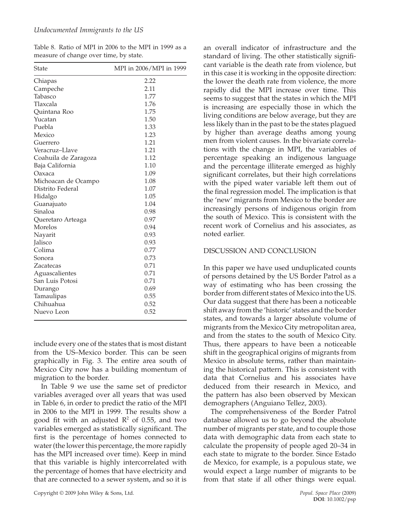Table 8. Ratio of MPI in 2006 to the MPI in 1999 as a measure of change over time, by state.

| State                | MPI in 2006/MPI in 1999 |
|----------------------|-------------------------|
| Chiapas              | 2.22                    |
| Campeche             | 2.11                    |
| Tabasco              | 1.77                    |
| Tlaxcala             | 1.76                    |
| Ouintana Roo         | 1.75                    |
| Yucatan              | 1.50                    |
| Puebla               | 1.33                    |
| Mexico               | 1.23                    |
| Guerrero             | 1.21                    |
| Veracruz–Llave       | 1.21                    |
| Coahuila de Zaragoza | 1.12                    |
| Baja California      | 1.10                    |
| Oaxaca               | 1.09                    |
| Michoacan de Ocampo  | 1.08                    |
| Distrito Federal     | 1.07                    |
| Hidalgo              | 1.05                    |
| Guanajuato           | 1.04                    |
| Sinaloa              | 0.98                    |
| Queretaro Arteaga    | 0.97                    |
| Morelos              | 0.94                    |
| Nayarit              | 0.93                    |
| Jalisco              | 0.93                    |
| Colima               | 0.77                    |
| Sonora               | 0.73                    |
| Zacatecas            | 0.71                    |
| Aguascalientes       | 0.71                    |
| San Luis Potosi      | 0.71                    |
| Durango              | 0.69                    |
| Tamaulipas           | 0.55                    |
| Chihuahua            | 0.52                    |
| Nuevo Leon           | 0.52                    |

include every one of the states that is most distant from the US–Mexico border. This can be seen graphically in Fig. 3. The entire area south of Mexico City now has a building momentum of migration to the border.

In Table 9 we use the same set of predictor variables averaged over all years that was used in Table 6, in order to predict the ratio of the MPI in 2006 to the MPI in 1999. The results show a good fit with an adjusted  $\mathbb{R}^2$  of 0.55, and two variables emerged as statistically significant. The first is the percentage of homes connected to water (the lower this percentage, the more rapidly has the MPI increased over time). Keep in mind that this variable is highly intercorrelated with the percentage of homes that have electricity and that are connected to a sewer system, and so it is

an overall indicator of infrastructure and the standard of living. The other statistically signifi cant variable is the death rate from violence, but in this case it is working in the opposite direction: the lower the death rate from violence, the more rapidly did the MPI increase over time. This seems to suggest that the states in which the MPI is increasing are especially those in which the living conditions are below average, but they are less likely than in the past to be the states plagued by higher than average deaths among young men from violent causes. In the bivariate correlations with the change in MPI, the variables of percentage speaking an indigenous language and the percentage illiterate emerged as highly significant correlates, but their high correlations with the piped water variable left them out of the final regression model. The implication is that the 'new' migrants from Mexico to the border are increasingly persons of indigenous origin from the south of Mexico. This is consistent with the recent work of Cornelius and his associates, as noted earlier.

#### DISCUSSION AND CONCLUSION

In this paper we have used unduplicated counts of persons detained by the US Border Patrol as a way of estimating who has been crossing the border from different states of Mexico into the US. Our data suggest that there has been a noticeable shift away from the 'historic' states and the border states, and towards a larger absolute volume of migrants from the Mexico City metropolitan area, and from the states to the south of Mexico City. Thus, there appears to have been a noticeable shift in the geographical origins of migrants from Mexico in absolute terms, rather than maintaining the historical pattern. This is consistent with data that Cornelius and his associates have deduced from their research in Mexico, and the pattern has also been observed by Mexican demographers (Anguiano Tellez, 2003).

The comprehensiveness of the Border Patrol database allowed us to go beyond the absolute number of migrants per state, and to couple those data with demographic data from each state to calculate the propensity of people aged 20–34 in each state to migrate to the border. Since Estado de Mexico, for example, is a populous state, we would expect a large number of migrants to be from that state if all other things were equal.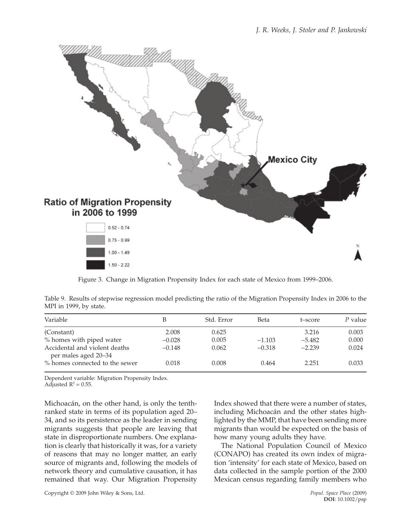

Figure 3. Change in Migration Propensity Index for each state of Mexico from 1999–2006.

|                        | Table 9. Results of stepwise regression model predicting the ratio of the Migration Propensity Index in 2006 to the |  |  |
|------------------------|---------------------------------------------------------------------------------------------------------------------|--|--|
| MPI in 1999, by state. |                                                                                                                     |  |  |

| Variable                                              |          | Std. Error | Beta     | t–score  | P value |
|-------------------------------------------------------|----------|------------|----------|----------|---------|
| (Constant)                                            | 2.008    | 0.625      |          | 3.216    | 0.003   |
| % homes with piped water                              | $-0.028$ | 0.005      | $-1.103$ | $-5.482$ | 0.000   |
| Accidental and violent deaths<br>per males aged 20-34 | $-0.148$ | 0.062      | $-0.318$ | $-2.239$ | 0.024   |
| % homes connected to the sewer                        | 0.018    | 0.008      | 0.464    | 2.251    | 0.033   |

Dependent variable: Migration Propensity Index.

Adjusted  $R^2 = 0.55$ .

Michoacán, on the other hand, is only the tenthranked state in terms of its population aged 20– 34, and so its persistence as the leader in sending migrants suggests that people are leaving that state in disproportionate numbers. One explanation is clearly that historically it was, for a variety of reasons that may no longer matter, an early source of migrants and, following the models of network theory and cumulative causation, it has remained that way. Our Migration Propensity Index showed that there were a number of states, including Michoacán and the other states highlighted by the MMP, that have been sending more migrants than would be expected on the basis of how many young adults they have.

The National Population Council of Mexico (CONAPO) has created its own index of migration 'intensity' for each state of Mexico, based on data collected in the sample portion of the 2000 Mexican census regarding family members who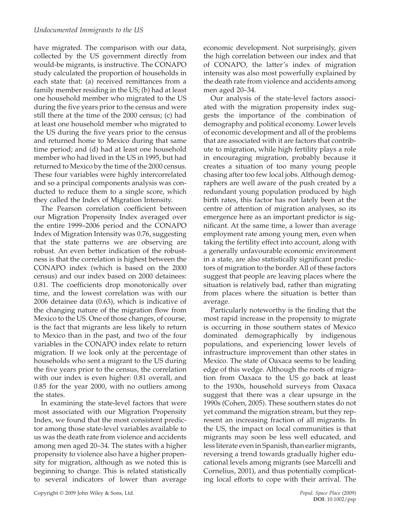have migrated. The comparison with our data, collected by the US government directly from would-be migrants, is instructive. The CONAPO study calculated the proportion of households in each state that: (a) received remittances from a family member residing in the US; (b) had at least one household member who migrated to the US during the five years prior to the census and were still there at the time of the 2000 census; (c) had at least one household member who migrated to the US during the five years prior to the census and returned home to Mexico during that same time period; and (d) had at least one household member who had lived in the US in 1995, but had returned to Mexico by the time of the 2000 census. These four variables were highly intercorrelated and so a principal components analysis was conducted to reduce them to a single score, which they called the Index of Migration Intensity.

The Pearson correlation coefficient between our Migration Propensity Index averaged over the entire 1999–2006 period and the CONAPO Index of Migration Intensity was 0.76, suggesting that the state patterns we are observing are robust. An even better indication of the robustness is that the correlation is highest between the CONAPO index (which is based on the 2000 census) and our index based on 2000 detainees: 0.81. The coefficients drop monotonically over time, and the lowest correlation was with our 2006 detainee data (0.63), which is indicative of the changing nature of the migration flow from Mexico to the US. One of those changes, of course, is the fact that migrants are less likely to return to Mexico than in the past, and two of the four variables in the CONAPO index relate to return migration. If we look only at the percentage of households who sent a migrant to the US during the five years prior to the census, the correlation with our index is even higher: 0.81 overall, and 0.85 for the year 2000, with no outliers among the states.

In examining the state-level factors that were most associated with our Migration Propensity Index, we found that the most consistent predictor among those state-level variables available to us was the death rate from violence and accidents among men aged 20–34. The states with a higher propensity to violence also have a higher propensity for migration, although as we noted this is beginning to change. This is related statistically to several indicators of lower than average

economic development. Not surprisingly, given the high correlation between our index and that of CONAPO, the latter's index of migration intensity was also most powerfully explained by the death rate from violence and accidents among men aged 20–34.

Our analysis of the state-level factors associated with the migration propensity index suggests the importance of the combination of demography and political economy. Lower levels of economic development and all of the problems that are associated with it are factors that contribute to migration, while high fertility plays a role in encouraging migration, probably because it creates a situation of too many young people chasing after too few local jobs. Although demographers are well aware of the push created by a redundant young population produced by high birth rates, this factor has not lately been at the centre of attention of migration analyses, so its emergence here as an important predictor is significant. At the same time, a lower than average employment rate among young men, even when taking the fertility effect into account, along with a generally unfavourable economic environment in a state, are also statistically significant predictors of migration to the border. All of these factors suggest that people are leaving places where the situation is relatively bad, rather than migrating from places where the situation is better than average.

Particularly noteworthy is the finding that the most rapid increase in the propensity to migrate is occurring in those southern states of Mexico dominated demographically by indigenous populations, and experiencing lower levels of infrastructure improvement than other states in Mexico. The state of Oaxaca seems to be leading edge of this wedge. Although the roots of migration from Oaxaca to the US go back at least to the 1930s, household surveys from Oaxaca suggest that there was a clear upsurge in the 1990s (Cohen, 2005). These southern states do not yet command the migration stream, but they represent an increasing fraction of all migrants. In the US, the impact on local communities is that migrants may soon be less well educated, and less literate even in Spanish, than earlier migrants, reversing a trend towards gradually higher educational levels among migrants (see Marcelli and Cornelius, 2001), and thus potentially complicating local efforts to cope with their arrival. The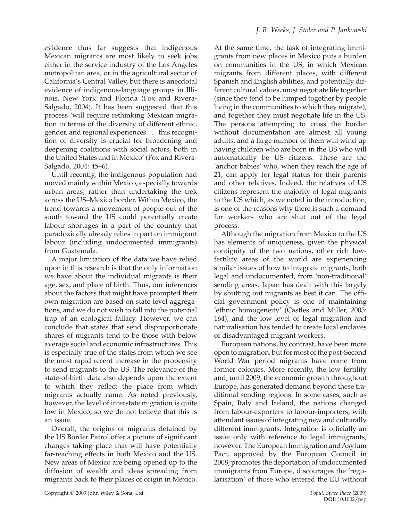evidence thus far suggests that indigenous Mexican migrants are most likely to seek jobs either in the service industry of the Los Angeles metropolitan area, or in the agricultural sector of California's Central Valley, but there is anecdotal evidence of indigenous-language groups in Illinois, New York and Florida (Fox and Rivera-Salgado, 2004). It has been suggested that this process 'will require rethinking Mexican migration in terms of the diversity of different ethnic, gender, and regional experiences . . . this recognition of diversity is crucial for broadening and deepening coalitions with social actors, both in the United States and in Mexico' (Fox and Rivera-Salgado, 2004: 45–6).

Until recently, the indigenous population had moved mainly within Mexico, especially towards urban areas, rather than undertaking the trek across the US–Mexico border. Within Mexico, the trend towards a movement of people out of the south toward the US could potentially create labour shortages in a part of the country that paradoxically already relies in part on immigrant labour (including undocumented immigrants) from Guatemala.

A major limitation of the data we have relied upon in this research is that the only information we have about the individual migrants is their age, sex, and place of birth. Thus, our inferences about the factors that might have prompted their own migration are based on state-level aggregations, and we do not wish to fall into the potential trap of an ecological fallacy. However, we can conclude that states that send disproportionate shares of migrants tend to be those with below average social and economic infrastructures. This is especially true of the states from which we see the most rapid recent increase in the propensity to send migrants to the US. The relevance of the state-of-birth data also depends upon the extent to which they reflect the place from which migrants actually came. As noted previously, however, the level of interstate migration is quite low in Mexico, so we do not believe that this is an issue.

Overall, the origins of migrants detained by the US Border Patrol offer a picture of significant changes taking place that will have potentially far-reaching effects in both Mexico and the US. New areas of Mexico are being opened up to the diffusion of wealth and ideas spreading from migrants back to their places of origin in Mexico.

At the same time, the task of integrating immigrants from new places in Mexico puts a burden on communities in the US, in which Mexican migrants from different places, with different Spanish and English abilities, and potentially different cultural values, must negotiate life together (since they tend to be lumped together by people living in the communities to which they migrate), and together they must negotiate life in the US. The persons attempting to cross the border without documentation are almost all young adults, and a large number of them will wind up having children who are born in the US who will automatically be US citizens. These are the 'anchor babies' who, when they reach the age of 21, can apply for legal status for their parents and other relatives. Indeed, the relatives of US citizens represent the majority of legal migrants to the US which, as we noted in the introduction, is one of the reasons why there is such a demand for workers who are shut out of the legal process.

Although the migration from Mexico to the US has elements of uniqueness, given the physical contiguity of the two nations, other rich lowfertility areas of the world are experiencing similar issues of how to integrate migrants, both legal and undocumented, from 'non-traditional' sending areas. Japan has dealt with this largely by shutting out migrants as best it can. The offi cial government policy is one of maintaining 'ethnic homogeneity' (Castles and Miller, 2003: 164), and the low level of legal migration and naturalisation has tended to create local enclaves of disadvantaged migrant workers.

European nations, by contrast, have been more open to migration, but for most of the post-Second World War period migrants have come from former colonies. More recently, the low fertility and, until 2009, the economic growth throughout Europe, has generated demand beyond these traditional sending regions. In some cases, such as Spain, Italy and Ireland, the nations changed from labour-exporters to labour-importers, with attendant issues of integrating new and culturally different immigrants. Integration is officially an issue only with reference to legal immigrants, however. The European Immigration and Asylum Pact, approved by the European Council in 2008, promotes the deportation of undocumented immigrants from Europe, discourages the 'regularisation' of those who entered the EU without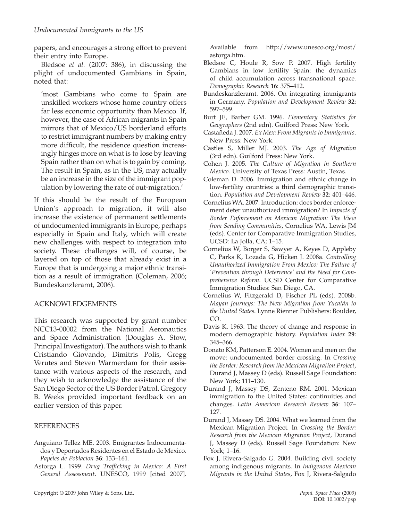### *Undocumented Immigrants to the US*

papers, and encourages a strong effort to prevent their entry into Europe.

Bledsoe *et al.* (2007: 386), in discussing the plight of undocumented Gambians in Spain, noted that:

'most Gambians who come to Spain are unskilled workers whose home country offers far less economic opportunity than Mexico. If, however, the case of African migrants in Spain mirrors that of Mexico/US borderland efforts to restrict immigrant numbers by making entry more difficult, the residence question increasingly hinges more on what is to lose by leaving Spain rather than on what is to gain by coming. The result in Spain, as in the US, may actually be an increase in the size of the immigrant population by lowering the rate of out-migration.'

If this should be the result of the European Union's approach to migration, it will also increase the existence of permanent settlements of undocumented immigrants in Europe, perhaps especially in Spain and Italy, which will create new challenges with respect to integration into society. These challenges will, of course, be layered on top of those that already exist in a Europe that is undergoing a major ethnic transition as a result of immigration (Coleman, 2006; Bundeskanzleramt, 2006).

# ACKNOWLEDGEMENTS

This research was supported by grant number NCC13-00002 from the National Aeronautics and Space Administration (Douglas A. Stow, Principal Investigator). The authors wish to thank Cristiando Giovando, Dimitris Polis, Gregg Verutes and Steven Warmerdam for their assistance with various aspects of the research, and they wish to acknowledge the assistance of the San Diego Sector of the US Border Patrol. Gregory B. Weeks provided important feedback on an earlier version of this paper.

# **REFERENCES**

- Anguiano Tellez ME. 2003. Emigrantes Indocumentados y Deportados Residentes en el Estado de Mexico. *Papeles de Poblacion* **36**: 133–161.
- Astorga L. 1999. *Drug Trafficking in Mexico: A First General Assessment*. UNESCO, 1999 [cited 2007].

Available from http://www.unesco.org/most/ astorga.htm.

- Bledsoe C, Houle R, Sow P. 2007. High fertility Gambians in low fertility Spain: the dynamics of child accumulation across transnational space. *Demographic Research* **16**: 375–412.
- Bundeskanzleramt. 2006. On integrating immigrants in Germany. *Population and Development Review* **32**: 597–599.
- Burt JE, Barber GM. 1996. *Elementary Statistics for Geographers* (2nd edn). Guilford Press: New York.
- Castañeda J. 2007. *Ex Mex: From Migrants to Immigrants*. New Press: New York.
- Castles S, Miller MJ. 2003. *The Age of Migration*  (3rd edn). Guilford Press: New York.
- Cohen J. 2005. *The Culture of Migration in Southern Mexico*. University of Texas Press: Austin, Texas.
- Coleman D. 2006. Immigration and ethnic change in low-fertility countries: a third demographic transition. *Population and Development Review* **32**: 401–446.
- Cornelius WA. 2007. Introduction: does border enforcement deter unauthorized immigration? In *Impacts of Border Enforcement on Mexican Migration: The View from Sending Communities*, Cornelius WA, Lewis JM (eds). Center for Comparative Immigration Studies, UCSD: La Jolla, CA; 1–15.
- Cornelius W, Borger S, Sawyer A, Keyes D, Appleby C, Parks K, Lozada G, Hicken J. 2008a. *Controlling Unauthorized Immigration From Mexico: The Failure of 'Prevention through Deterrence' and the Need for Comprehensive Reform*. UCSD Center for Comparative Immigration Studies: San Diego, CA.
- Cornelius W, Fitzgerald D, Fischer PL (eds). 2008b. *Mayan Journeys: The New Migration from Yucatán to the United States*. Lynne Rienner Publishers: Boulder, CO.
- Davis K. 1963. The theory of change and response in modern demographic history. *Population Index* **29**: 345–366.
- Donato KM, Patterson E. 2004. Women and men on the move: undocumented border crossing. In *Crossing the Border: Research from the Mexican Migration Project*, Durand J, Massey D (eds). Russell Sage Foundation: New York; 111–130.
- Durand J, Massey DS, Zenteno RM. 2001. Mexican immigration to the United States: continuities and changes. *Latin American Research Review* **36**: 107– 127.
- Durand J, Massey DS. 2004. What we learned from the Mexican Migration Project. In *Crossing the Border: Research from the Mexican Migration Project*, Durand J, Massey D (eds). Russell Sage Foundation: New York; 1–16.
- Fox J, Rivera-Salgado G. 2004. Building civil society among indigenous migrants. In *Indigenous Mexican Migrants in the United States*, Fox J, Rivera-Salgado